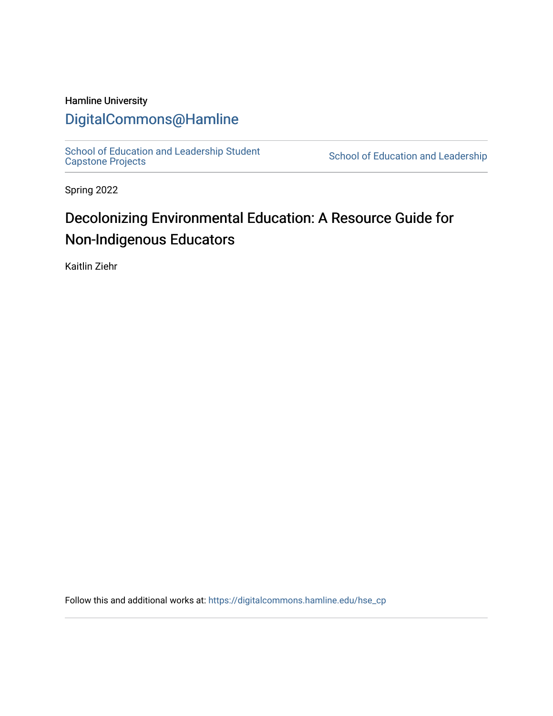#### Hamline University

### [DigitalCommons@Hamline](https://digitalcommons.hamline.edu/)

[School of Education and Leadership Student](https://digitalcommons.hamline.edu/hse_cp)<br>Capstone Projects

School of Education and Leadership

Spring 2022

## Decolonizing Environmental Education: A Resource Guide for Non-Indigenous Educators

Kaitlin Ziehr

Follow this and additional works at: [https://digitalcommons.hamline.edu/hse\\_cp](https://digitalcommons.hamline.edu/hse_cp?utm_source=digitalcommons.hamline.edu%2Fhse_cp%2F811&utm_medium=PDF&utm_campaign=PDFCoverPages)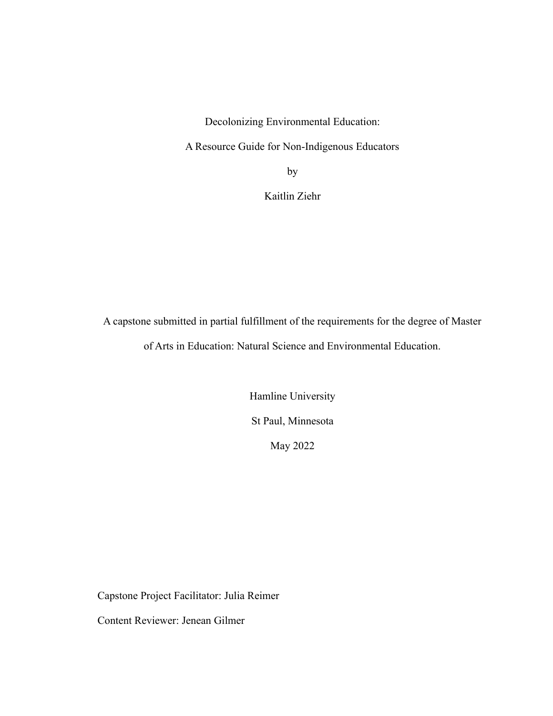Decolonizing Environmental Education:

A Resource Guide for Non-Indigenous Educators

by

Kaitlin Ziehr

A capstone submitted in partial fulfillment of the requirements for the degree of Master of Arts in Education: Natural Science and Environmental Education.

> Hamline University St Paul, Minnesota May 2022

Capstone Project Facilitator: Julia Reimer

Content Reviewer: Jenean Gilmer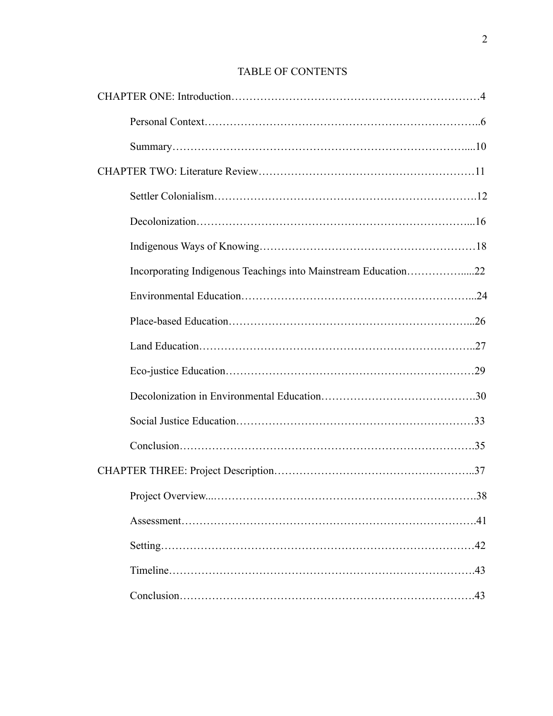# CHAPTER ONE: Introduction……………………………………………………………4 Personal Context…………………………………………………………………..6 Summary………………………………………………………………………....10 CHAPTER TWO: Literature Review……………………………………………………11 Settler Colonialism……………………………………………………………….12 Decolonization…………………………………………………………………...16 Indigenous Ways of Knowing……………………………………………………18 Incorporating Indigenous Teachings into Mainstream Education…………….....22 Environmental Education………………………………………………………...24 Place-based Education…………………………………………………………...26 Land Education…………………………………………………………………..27 Eco-justice Education……………………………………………………………29 Decolonization in Environmental Education…………………………………….30 Social Justice Education…………………………………………………………33 Conclusion……………………………………………………………………….35 CHAPTER THREE: Project Description………………………………………………..37 Project Overview...……………………………………………………………….38 Assessment……………………………………………………………………….41 Setting……………………………………………………………………………42 Timeline………………………………………………………………………….43 Conclusion……………………………………………………………………….43

#### TABLE OF CONTENTS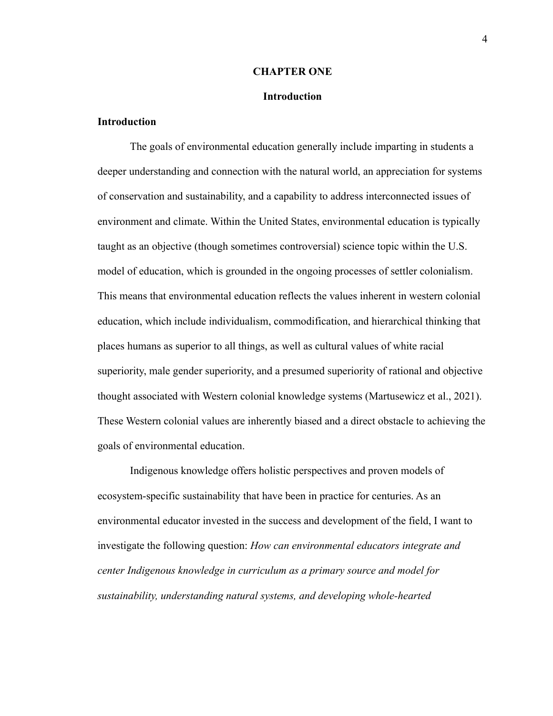#### **CHAPTER ONE**

#### **Introduction**

#### **Introduction**

The goals of environmental education generally include imparting in students a deeper understanding and connection with the natural world, an appreciation for systems of conservation and sustainability, and a capability to address interconnected issues of environment and climate. Within the United States, environmental education is typically taught as an objective (though sometimes controversial) science topic within the U.S. model of education, which is grounded in the ongoing processes of settler colonialism. This means that environmental education reflects the values inherent in western colonial education, which include individualism, commodification, and hierarchical thinking that places humans as superior to all things, as well as cultural values of white racial superiority, male gender superiority, and a presumed superiority of rational and objective thought associated with Western colonial knowledge systems (Martusewicz et al., 2021). These Western colonial values are inherently biased and a direct obstacle to achieving the goals of environmental education.

Indigenous knowledge offers holistic perspectives and proven models of ecosystem-specific sustainability that have been in practice for centuries. As an environmental educator invested in the success and development of the field, I want to investigate the following question: *How can environmental educators integrate and center Indigenous knowledge in curriculum as a primary source and model for sustainability, understanding natural systems, and developing whole-hearted*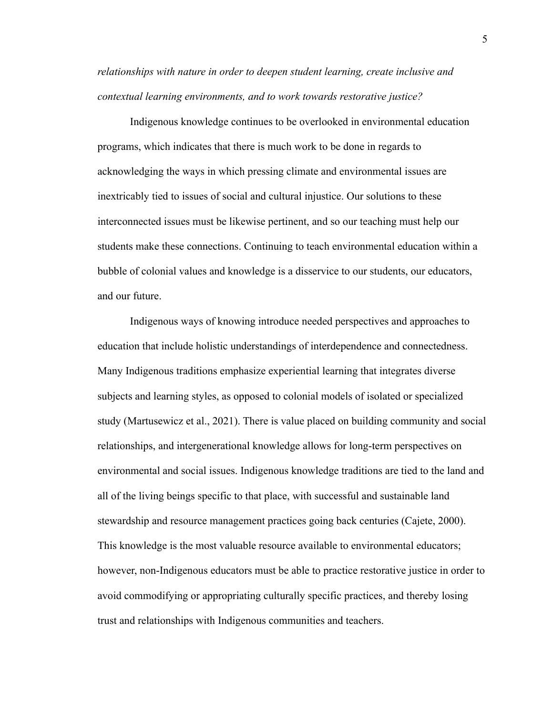*relationships with nature in order to deepen student learning, create inclusive and contextual learning environments, and to work towards restorative justice?*

Indigenous knowledge continues to be overlooked in environmental education programs, which indicates that there is much work to be done in regards to acknowledging the ways in which pressing climate and environmental issues are inextricably tied to issues of social and cultural injustice. Our solutions to these interconnected issues must be likewise pertinent, and so our teaching must help our students make these connections. Continuing to teach environmental education within a bubble of colonial values and knowledge is a disservice to our students, our educators, and our future.

Indigenous ways of knowing introduce needed perspectives and approaches to education that include holistic understandings of interdependence and connectedness. Many Indigenous traditions emphasize experiential learning that integrates diverse subjects and learning styles, as opposed to colonial models of isolated or specialized study (Martusewicz et al., 2021). There is value placed on building community and social relationships, and intergenerational knowledge allows for long-term perspectives on environmental and social issues. Indigenous knowledge traditions are tied to the land and all of the living beings specific to that place, with successful and sustainable land stewardship and resource management practices going back centuries (Cajete, 2000). This knowledge is the most valuable resource available to environmental educators; however, non-Indigenous educators must be able to practice restorative justice in order to avoid commodifying or appropriating culturally specific practices, and thereby losing trust and relationships with Indigenous communities and teachers.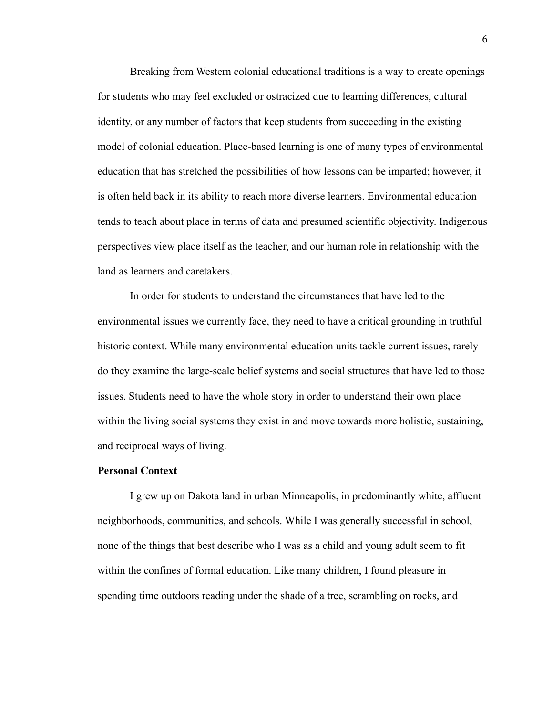Breaking from Western colonial educational traditions is a way to create openings for students who may feel excluded or ostracized due to learning differences, cultural identity, or any number of factors that keep students from succeeding in the existing model of colonial education. Place-based learning is one of many types of environmental education that has stretched the possibilities of how lessons can be imparted; however, it is often held back in its ability to reach more diverse learners. Environmental education tends to teach about place in terms of data and presumed scientific objectivity. Indigenous perspectives view place itself as the teacher, and our human role in relationship with the land as learners and caretakers.

In order for students to understand the circumstances that have led to the environmental issues we currently face, they need to have a critical grounding in truthful historic context. While many environmental education units tackle current issues, rarely do they examine the large-scale belief systems and social structures that have led to those issues. Students need to have the whole story in order to understand their own place within the living social systems they exist in and move towards more holistic, sustaining, and reciprocal ways of living.

#### **Personal Context**

I grew up on Dakota land in urban Minneapolis, in predominantly white, affluent neighborhoods, communities, and schools. While I was generally successful in school, none of the things that best describe who I was as a child and young adult seem to fit within the confines of formal education. Like many children, I found pleasure in spending time outdoors reading under the shade of a tree, scrambling on rocks, and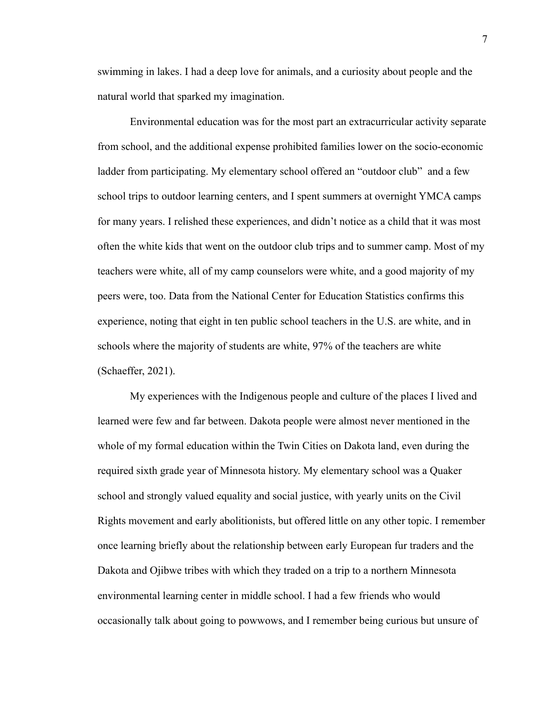swimming in lakes. I had a deep love for animals, and a curiosity about people and the natural world that sparked my imagination.

Environmental education was for the most part an extracurricular activity separate from school, and the additional expense prohibited families lower on the socio-economic ladder from participating. My elementary school offered an "outdoor club" and a few school trips to outdoor learning centers, and I spent summers at overnight YMCA camps for many years. I relished these experiences, and didn't notice as a child that it was most often the white kids that went on the outdoor club trips and to summer camp. Most of my teachers were white, all of my camp counselors were white, and a good majority of my peers were, too. Data from the National Center for Education Statistics confirms this experience, noting that eight in ten public school teachers in the U.S. are white, and in schools where the majority of students are white, 97% of the teachers are white (Schaeffer, 2021).

My experiences with the Indigenous people and culture of the places I lived and learned were few and far between. Dakota people were almost never mentioned in the whole of my formal education within the Twin Cities on Dakota land, even during the required sixth grade year of Minnesota history. My elementary school was a Quaker school and strongly valued equality and social justice, with yearly units on the Civil Rights movement and early abolitionists, but offered little on any other topic. I remember once learning briefly about the relationship between early European fur traders and the Dakota and Ojibwe tribes with which they traded on a trip to a northern Minnesota environmental learning center in middle school. I had a few friends who would occasionally talk about going to powwows, and I remember being curious but unsure of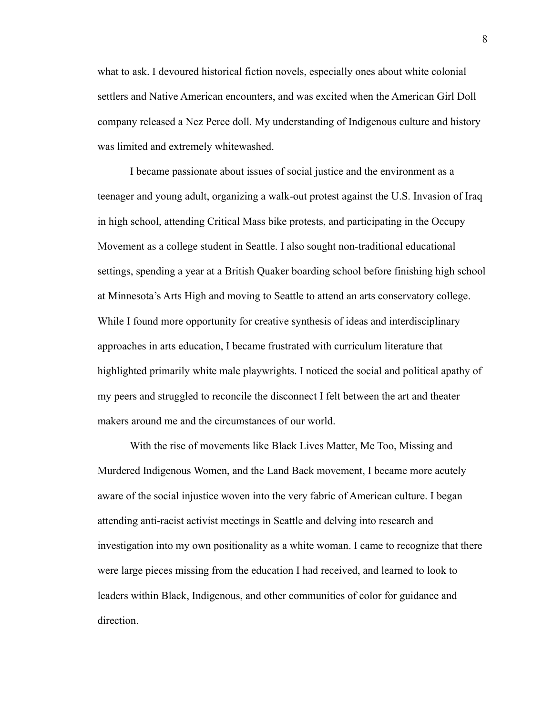what to ask. I devoured historical fiction novels, especially ones about white colonial settlers and Native American encounters, and was excited when the American Girl Doll company released a Nez Perce doll. My understanding of Indigenous culture and history was limited and extremely whitewashed.

I became passionate about issues of social justice and the environment as a teenager and young adult, organizing a walk-out protest against the U.S. Invasion of Iraq in high school, attending Critical Mass bike protests, and participating in the Occupy Movement as a college student in Seattle. I also sought non-traditional educational settings, spending a year at a British Quaker boarding school before finishing high school at Minnesota's Arts High and moving to Seattle to attend an arts conservatory college. While I found more opportunity for creative synthesis of ideas and interdisciplinary approaches in arts education, I became frustrated with curriculum literature that highlighted primarily white male playwrights. I noticed the social and political apathy of my peers and struggled to reconcile the disconnect I felt between the art and theater makers around me and the circumstances of our world.

With the rise of movements like Black Lives Matter, Me Too, Missing and Murdered Indigenous Women, and the Land Back movement, I became more acutely aware of the social injustice woven into the very fabric of American culture. I began attending anti-racist activist meetings in Seattle and delving into research and investigation into my own positionality as a white woman. I came to recognize that there were large pieces missing from the education I had received, and learned to look to leaders within Black, Indigenous, and other communities of color for guidance and direction.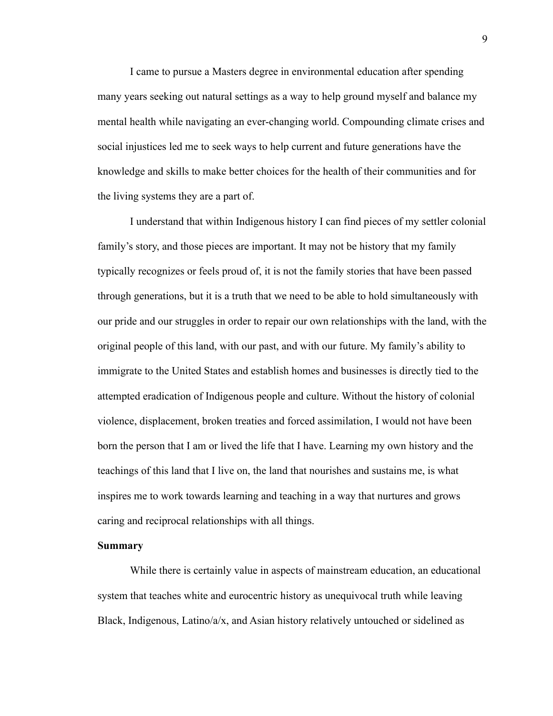I came to pursue a Masters degree in environmental education after spending many years seeking out natural settings as a way to help ground myself and balance my mental health while navigating an ever-changing world. Compounding climate crises and social injustices led me to seek ways to help current and future generations have the knowledge and skills to make better choices for the health of their communities and for the living systems they are a part of.

I understand that within Indigenous history I can find pieces of my settler colonial family's story, and those pieces are important. It may not be history that my family typically recognizes or feels proud of, it is not the family stories that have been passed through generations, but it is a truth that we need to be able to hold simultaneously with our pride and our struggles in order to repair our own relationships with the land, with the original people of this land, with our past, and with our future. My family's ability to immigrate to the United States and establish homes and businesses is directly tied to the attempted eradication of Indigenous people and culture. Without the history of colonial violence, displacement, broken treaties and forced assimilation, I would not have been born the person that I am or lived the life that I have. Learning my own history and the teachings of this land that I live on, the land that nourishes and sustains me, is what inspires me to work towards learning and teaching in a way that nurtures and grows caring and reciprocal relationships with all things.

#### **Summary**

While there is certainly value in aspects of mainstream education, an educational system that teaches white and eurocentric history as unequivocal truth while leaving Black, Indigenous, Latino/ $a/x$ , and Asian history relatively untouched or sidelined as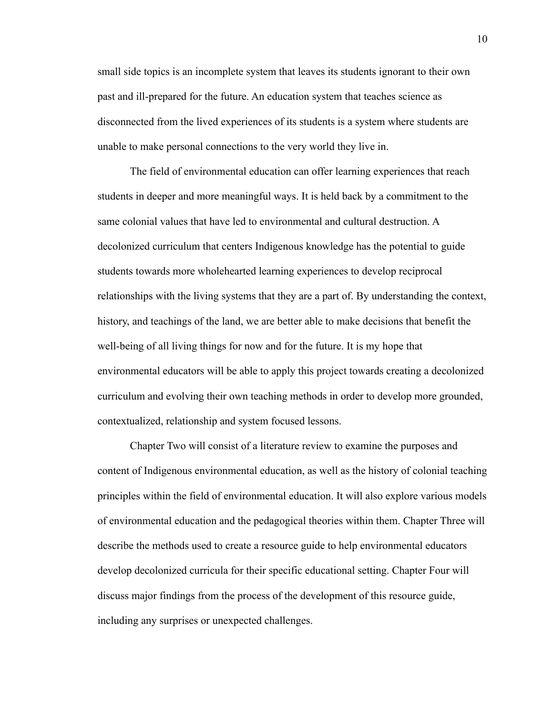small side topics is an incomplete system that leaves its students ignorant to their own past and ill-prepared for the future. An education system that teaches science as disconnected from the lived experiences of its students is a system where students are unable to make personal connections to the very world they live in.

The field of environmental education can offer learning experiences that reach students in deeper and more meaningful ways. It is held back by a commitment to the same colonial values that have led to environmental and cultural destruction. A decolonized curriculum that centers Indigenous knowledge has the potential to guide students towards more wholehearted learning experiences to develop reciprocal relationships with the living systems that they are a part of. By understanding the context, history, and teachings of the land, we are better able to make decisions that benefit the well-being of all living things for now and for the future. It is my hope that environmental educators will be able to apply this project towards creating a decolonized curriculum and evolving their own teaching methods in order to develop more grounded, contextualized, relationship and system focused lessons.

Chapter Two will consist of a literature review to examine the purposes and content of Indigenous environmental education, as well as the history of colonial teaching principles within the field of environmental education. It will also explore various models of environmental education and the pedagogical theories within them. Chapter Three will describe the methods used to create a resource guide to help environmental educators develop decolonized curricula for their specific educational setting. Chapter Four will discuss major findings from the process of the development of this resource guide, including any surprises or unexpected challenges.

10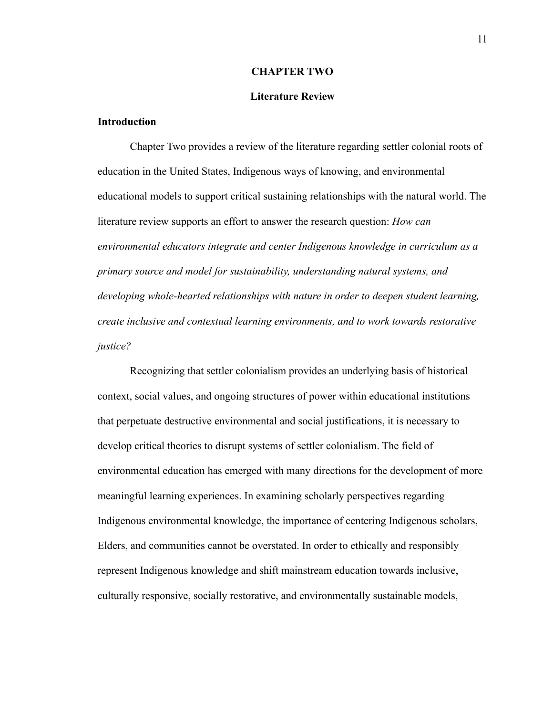#### **CHAPTER TWO**

#### **Literature Review**

#### **Introduction**

Chapter Two provides a review of the literature regarding settler colonial roots of education in the United States, Indigenous ways of knowing, and environmental educational models to support critical sustaining relationships with the natural world. The literature review supports an effort to answer the research question: *How can environmental educators integrate and center Indigenous knowledge in curriculum as a primary source and model for sustainability, understanding natural systems, and developing whole-hearted relationships with nature in order to deepen student learning, create inclusive and contextual learning environments, and to work towards restorative justice?*

Recognizing that settler colonialism provides an underlying basis of historical context, social values, and ongoing structures of power within educational institutions that perpetuate destructive environmental and social justifications, it is necessary to develop critical theories to disrupt systems of settler colonialism. The field of environmental education has emerged with many directions for the development of more meaningful learning experiences. In examining scholarly perspectives regarding Indigenous environmental knowledge, the importance of centering Indigenous scholars, Elders, and communities cannot be overstated. In order to ethically and responsibly represent Indigenous knowledge and shift mainstream education towards inclusive, culturally responsive, socially restorative, and environmentally sustainable models,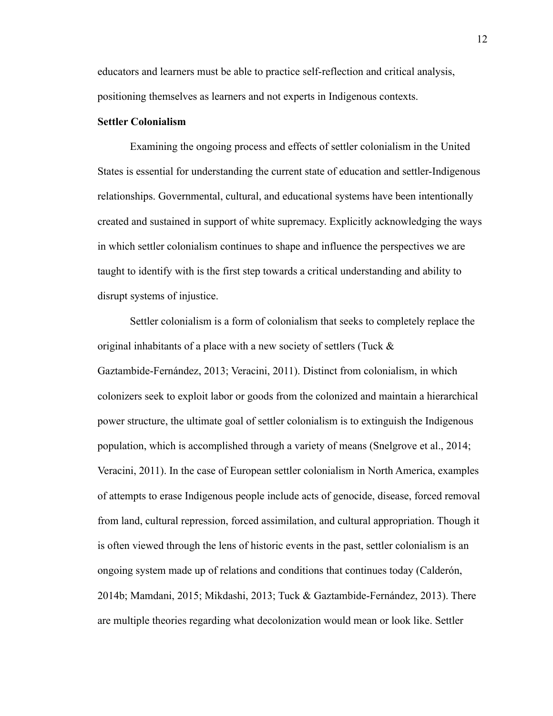educators and learners must be able to practice self-reflection and critical analysis, positioning themselves as learners and not experts in Indigenous contexts.

#### **Settler Colonialism**

Examining the ongoing process and effects of settler colonialism in the United States is essential for understanding the current state of education and settler-Indigenous relationships. Governmental, cultural, and educational systems have been intentionally created and sustained in support of white supremacy. Explicitly acknowledging the ways in which settler colonialism continues to shape and influence the perspectives we are taught to identify with is the first step towards a critical understanding and ability to disrupt systems of injustice.

Settler colonialism is a form of colonialism that seeks to completely replace the original inhabitants of a place with a new society of settlers (Tuck & Gaztambide-Fernández, 2013; Veracini, 2011). Distinct from colonialism, in which colonizers seek to exploit labor or goods from the colonized and maintain a hierarchical power structure, the ultimate goal of settler colonialism is to extinguish the Indigenous population, which is accomplished through a variety of means (Snelgrove et al., 2014; Veracini, 2011). In the case of European settler colonialism in North America, examples of attempts to erase Indigenous people include acts of genocide, disease, forced removal from land, cultural repression, forced assimilation, and cultural appropriation. Though it is often viewed through the lens of historic events in the past, settler colonialism is an ongoing system made up of relations and conditions that continues today (Calderón, 2014b; Mamdani, 2015; Mikdashi, 2013; Tuck & Gaztambide-Fernández, 2013). There are multiple theories regarding what decolonization would mean or look like. Settler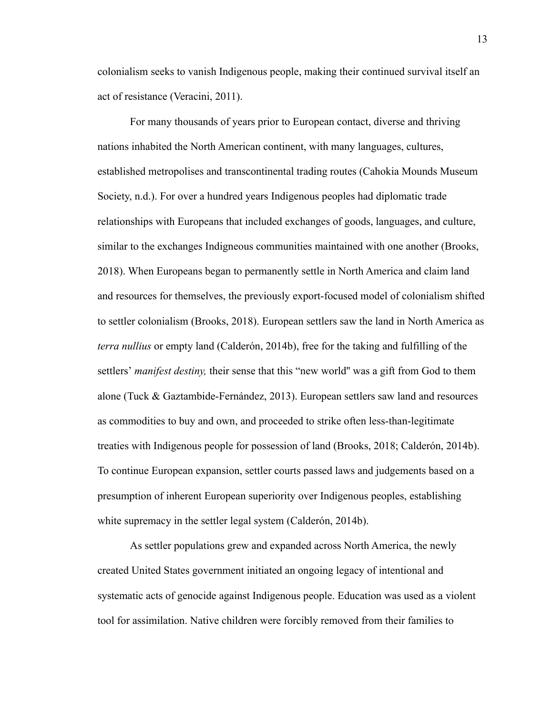colonialism seeks to vanish Indigenous people, making their continued survival itself an act of resistance (Veracini, 2011).

For many thousands of years prior to European contact, diverse and thriving nations inhabited the North American continent, with many languages, cultures, established metropolises and transcontinental trading routes (Cahokia Mounds Museum Society, n.d.). For over a hundred years Indigenous peoples had diplomatic trade relationships with Europeans that included exchanges of goods, languages, and culture, similar to the exchanges Indigneous communities maintained with one another (Brooks, 2018). When Europeans began to permanently settle in North America and claim land and resources for themselves, the previously export-focused model of colonialism shifted to settler colonialism (Brooks, 2018). European settlers saw the land in North America as *terra nullius* or empty land (Calderón, 2014b), free for the taking and fulfilling of the settlers' *manifest destiny*, their sense that this "new world" was a gift from God to them alone (Tuck & Gaztambide-Fernández, 2013). European settlers saw land and resources as commodities to buy and own, and proceeded to strike often less-than-legitimate treaties with Indigenous people for possession of land (Brooks, 2018; Calderón, 2014b). To continue European expansion, settler courts passed laws and judgements based on a presumption of inherent European superiority over Indigenous peoples, establishing white supremacy in the settler legal system (Calderón, 2014b).

As settler populations grew and expanded across North America, the newly created United States government initiated an ongoing legacy of intentional and systematic acts of genocide against Indigenous people. Education was used as a violent tool for assimilation. Native children were forcibly removed from their families to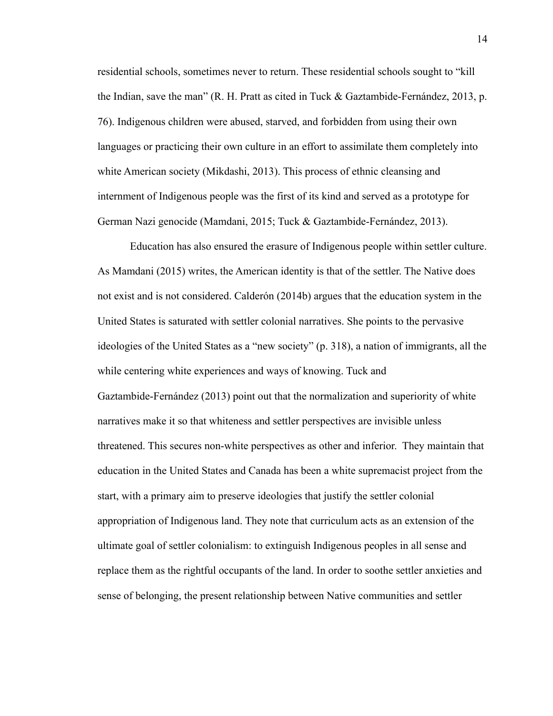residential schools, sometimes never to return. These residential schools sought to "kill the Indian, save the man" (R. H. Pratt as cited in Tuck & Gaztambide-Fernández, 2013, p. 76). Indigenous children were abused, starved, and forbidden from using their own languages or practicing their own culture in an effort to assimilate them completely into white American society (Mikdashi, 2013). This process of ethnic cleansing and internment of Indigenous people was the first of its kind and served as a prototype for German Nazi genocide (Mamdani, 2015; Tuck & Gaztambide-Fernández, 2013).

Education has also ensured the erasure of Indigenous people within settler culture. As Mamdani (2015) writes, the American identity is that of the settler. The Native does not exist and is not considered. Calderón (2014b) argues that the education system in the United States is saturated with settler colonial narratives. She points to the pervasive ideologies of the United States as a "new society" (p. 318), a nation of immigrants, all the while centering white experiences and ways of knowing. Tuck and Gaztambide-Fernández (2013) point out that the normalization and superiority of white narratives make it so that whiteness and settler perspectives are invisible unless threatened. This secures non-white perspectives as other and inferior. They maintain that education in the United States and Canada has been a white supremacist project from the start, with a primary aim to preserve ideologies that justify the settler colonial appropriation of Indigenous land. They note that curriculum acts as an extension of the ultimate goal of settler colonialism: to extinguish Indigenous peoples in all sense and replace them as the rightful occupants of the land. In order to soothe settler anxieties and sense of belonging, the present relationship between Native communities and settler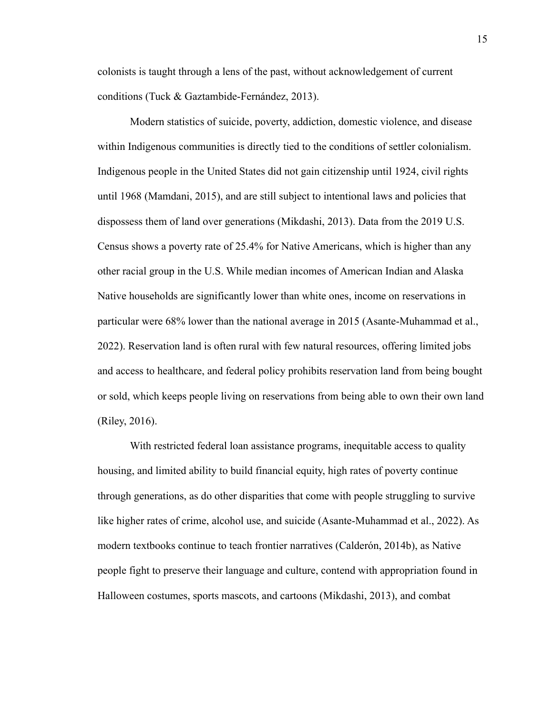colonists is taught through a lens of the past, without acknowledgement of current conditions (Tuck & Gaztambide-Fernández, 2013).

Modern statistics of suicide, poverty, addiction, domestic violence, and disease within Indigenous communities is directly tied to the conditions of settler colonialism. Indigenous people in the United States did not gain citizenship until 1924, civil rights until 1968 (Mamdani, 2015), and are still subject to intentional laws and policies that dispossess them of land over generations (Mikdashi, 2013). Data from the 2019 U.S. Census shows a poverty rate of 25.4% for Native Americans, which is higher than any other racial group in the U.S. While median incomes of American Indian and Alaska Native households are significantly lower than white ones, income on reservations in particular were 68% lower than the national average in 2015 (Asante-Muhammad et al., 2022). Reservation land is often rural with few natural resources, offering limited jobs and access to healthcare, and federal policy prohibits reservation land from being bought or sold, which keeps people living on reservations from being able to own their own land (Riley, 2016).

With restricted federal loan assistance programs, inequitable access to quality housing, and limited ability to build financial equity, high rates of poverty continue through generations, as do other disparities that come with people struggling to survive like higher rates of crime, alcohol use, and suicide (Asante-Muhammad et al., 2022). As modern textbooks continue to teach frontier narratives (Calderón, 2014b), as Native people fight to preserve their language and culture, contend with appropriation found in Halloween costumes, sports mascots, and cartoons (Mikdashi, 2013), and combat

15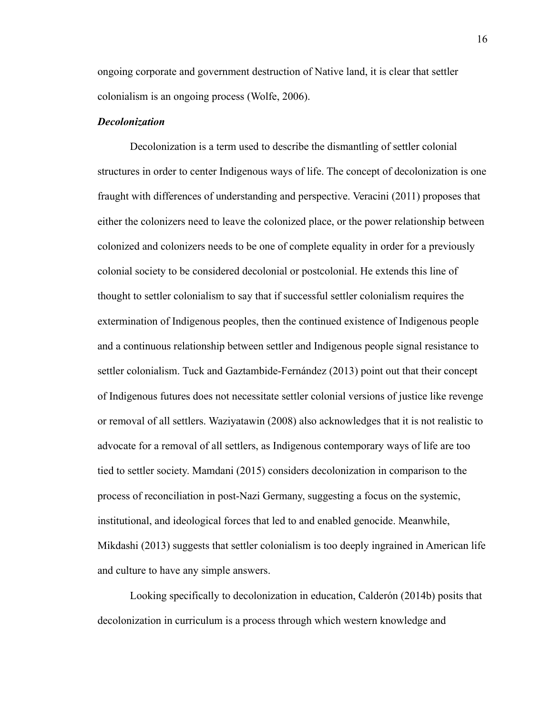ongoing corporate and government destruction of Native land, it is clear that settler colonialism is an ongoing process (Wolfe, 2006).

#### *Decolonization*

Decolonization is a term used to describe the dismantling of settler colonial structures in order to center Indigenous ways of life. The concept of decolonization is one fraught with differences of understanding and perspective. Veracini (2011) proposes that either the colonizers need to leave the colonized place, or the power relationship between colonized and colonizers needs to be one of complete equality in order for a previously colonial society to be considered decolonial or postcolonial. He extends this line of thought to settler colonialism to say that if successful settler colonialism requires the extermination of Indigenous peoples, then the continued existence of Indigenous people and a continuous relationship between settler and Indigenous people signal resistance to settler colonialism. Tuck and Gaztambide-Fernández (2013) point out that their concept of Indigenous futures does not necessitate settler colonial versions of justice like revenge or removal of all settlers. Waziyatawin (2008) also acknowledges that it is not realistic to advocate for a removal of all settlers, as Indigenous contemporary ways of life are too tied to settler society. Mamdani (2015) considers decolonization in comparison to the process of reconciliation in post-Nazi Germany, suggesting a focus on the systemic, institutional, and ideological forces that led to and enabled genocide. Meanwhile, Mikdashi (2013) suggests that settler colonialism is too deeply ingrained in American life and culture to have any simple answers.

Looking specifically to decolonization in education, Calderón (2014b) posits that decolonization in curriculum is a process through which western knowledge and

16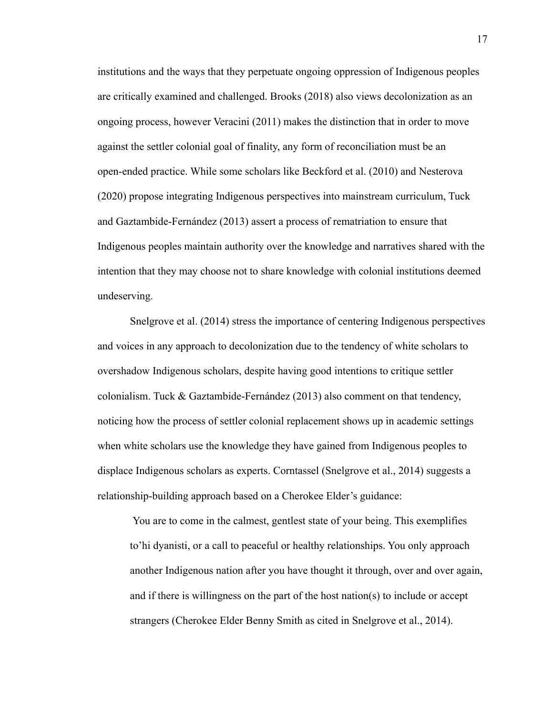institutions and the ways that they perpetuate ongoing oppression of Indigenous peoples are critically examined and challenged. Brooks (2018) also views decolonization as an ongoing process, however Veracini (2011) makes the distinction that in order to move against the settler colonial goal of finality, any form of reconciliation must be an open-ended practice. While some scholars like Beckford et al. (2010) and Nesterova (2020) propose integrating Indigenous perspectives into mainstream curriculum, Tuck and Gaztambide-Fernández (2013) assert a process of rematriation to ensure that Indigenous peoples maintain authority over the knowledge and narratives shared with the intention that they may choose not to share knowledge with colonial institutions deemed undeserving.

Snelgrove et al. (2014) stress the importance of centering Indigenous perspectives and voices in any approach to decolonization due to the tendency of white scholars to overshadow Indigenous scholars, despite having good intentions to critique settler colonialism. Tuck & Gaztambide-Fernández (2013) also comment on that tendency, noticing how the process of settler colonial replacement shows up in academic settings when white scholars use the knowledge they have gained from Indigenous peoples to displace Indigenous scholars as experts. Corntassel (Snelgrove et al., 2014) suggests a relationship-building approach based on a Cherokee Elder's guidance:

You are to come in the calmest, gentlest state of your being. This exemplifies to'hi dyanisti, or a call to peaceful or healthy relationships. You only approach another Indigenous nation after you have thought it through, over and over again, and if there is willingness on the part of the host nation(s) to include or accept strangers (Cherokee Elder Benny Smith as cited in Snelgrove et al., 2014).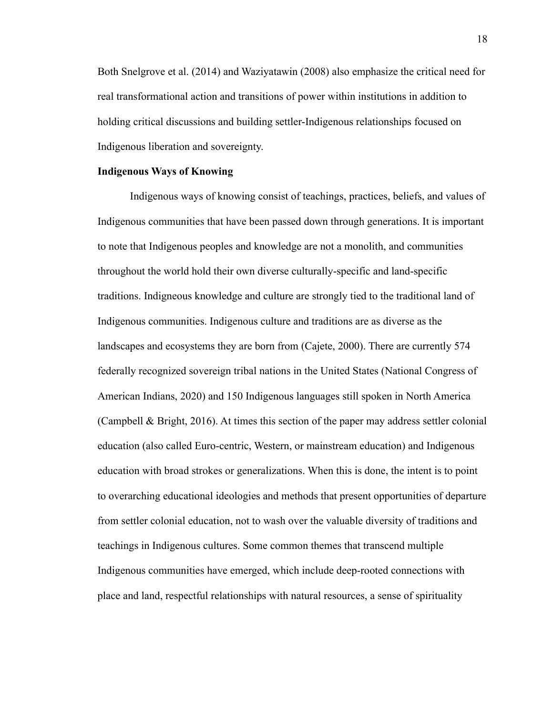Both Snelgrove et al. (2014) and Waziyatawin (2008) also emphasize the critical need for real transformational action and transitions of power within institutions in addition to holding critical discussions and building settler-Indigenous relationships focused on Indigenous liberation and sovereignty.

#### **Indigenous Ways of Knowing**

Indigenous ways of knowing consist of teachings, practices, beliefs, and values of Indigenous communities that have been passed down through generations. It is important to note that Indigenous peoples and knowledge are not a monolith, and communities throughout the world hold their own diverse culturally-specific and land-specific traditions. Indigneous knowledge and culture are strongly tied to the traditional land of Indigenous communities. Indigenous culture and traditions are as diverse as the landscapes and ecosystems they are born from (Cajete, 2000). There are currently 574 federally recognized sovereign tribal nations in the United States (National Congress of American Indians, 2020) and 150 Indigenous languages still spoken in North America (Campbell & Bright, 2016). At times this section of the paper may address settler colonial education (also called Euro-centric, Western, or mainstream education) and Indigenous education with broad strokes or generalizations. When this is done, the intent is to point to overarching educational ideologies and methods that present opportunities of departure from settler colonial education, not to wash over the valuable diversity of traditions and teachings in Indigenous cultures. Some common themes that transcend multiple Indigenous communities have emerged, which include deep-rooted connections with place and land, respectful relationships with natural resources, a sense of spirituality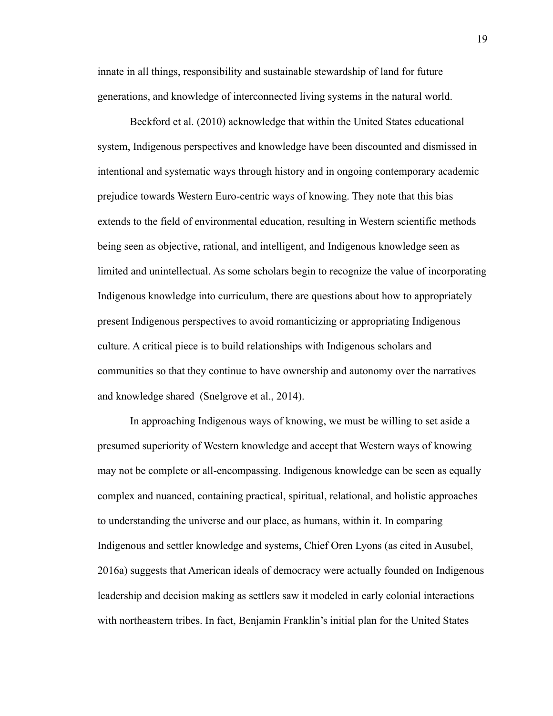innate in all things, responsibility and sustainable stewardship of land for future generations, and knowledge of interconnected living systems in the natural world.

Beckford et al. (2010) acknowledge that within the United States educational system, Indigenous perspectives and knowledge have been discounted and dismissed in intentional and systematic ways through history and in ongoing contemporary academic prejudice towards Western Euro-centric ways of knowing. They note that this bias extends to the field of environmental education, resulting in Western scientific methods being seen as objective, rational, and intelligent, and Indigenous knowledge seen as limited and unintellectual. As some scholars begin to recognize the value of incorporating Indigenous knowledge into curriculum, there are questions about how to appropriately present Indigenous perspectives to avoid romanticizing or appropriating Indigenous culture. A critical piece is to build relationships with Indigenous scholars and communities so that they continue to have ownership and autonomy over the narratives and knowledge shared (Snelgrove et al., 2014).

In approaching Indigenous ways of knowing, we must be willing to set aside a presumed superiority of Western knowledge and accept that Western ways of knowing may not be complete or all-encompassing. Indigenous knowledge can be seen as equally complex and nuanced, containing practical, spiritual, relational, and holistic approaches to understanding the universe and our place, as humans, within it. In comparing Indigenous and settler knowledge and systems, Chief Oren Lyons (as cited in Ausubel, 2016a) suggests that American ideals of democracy were actually founded on Indigenous leadership and decision making as settlers saw it modeled in early colonial interactions with northeastern tribes. In fact, Benjamin Franklin's initial plan for the United States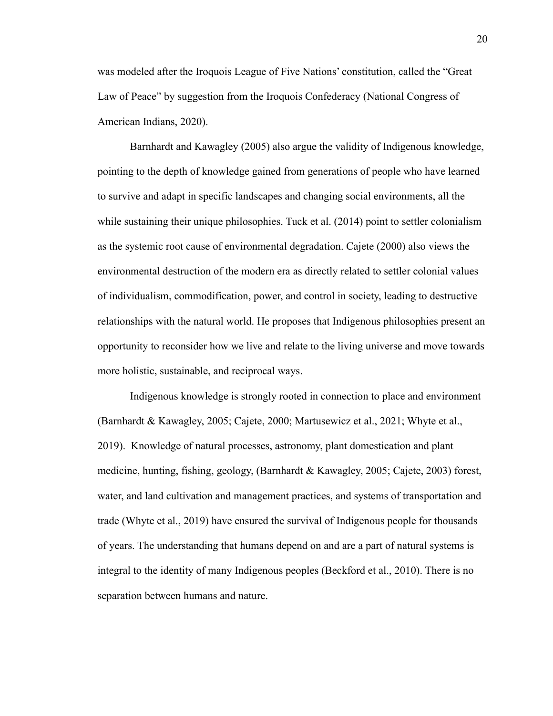was modeled after the Iroquois League of Five Nations' constitution, called the "Great Law of Peace" by suggestion from the Iroquois Confederacy (National Congress of American Indians, 2020).

Barnhardt and Kawagley (2005) also argue the validity of Indigenous knowledge, pointing to the depth of knowledge gained from generations of people who have learned to survive and adapt in specific landscapes and changing social environments, all the while sustaining their unique philosophies. Tuck et al. (2014) point to settler colonialism as the systemic root cause of environmental degradation. Cajete (2000) also views the environmental destruction of the modern era as directly related to settler colonial values of individualism, commodification, power, and control in society, leading to destructive relationships with the natural world. He proposes that Indigenous philosophies present an opportunity to reconsider how we live and relate to the living universe and move towards more holistic, sustainable, and reciprocal ways.

Indigenous knowledge is strongly rooted in connection to place and environment (Barnhardt & Kawagley, 2005; Cajete, 2000; Martusewicz et al., 2021; Whyte et al., 2019). Knowledge of natural processes, astronomy, plant domestication and plant medicine, hunting, fishing, geology, (Barnhardt & Kawagley, 2005; Cajete, 2003) forest, water, and land cultivation and management practices, and systems of transportation and trade (Whyte et al., 2019) have ensured the survival of Indigenous people for thousands of years. The understanding that humans depend on and are a part of natural systems is integral to the identity of many Indigenous peoples (Beckford et al., 2010). There is no separation between humans and nature.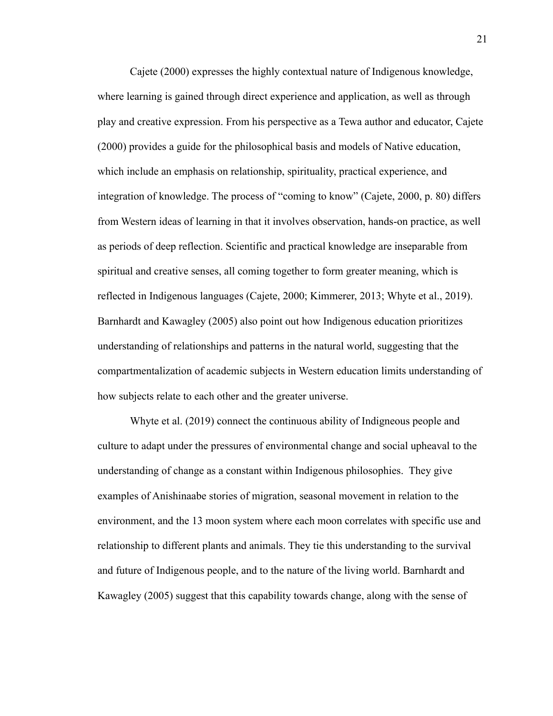Cajete (2000) expresses the highly contextual nature of Indigenous knowledge, where learning is gained through direct experience and application, as well as through play and creative expression. From his perspective as a Tewa author and educator, Cajete (2000) provides a guide for the philosophical basis and models of Native education, which include an emphasis on relationship, spirituality, practical experience, and integration of knowledge. The process of "coming to know" (Cajete, 2000, p. 80) differs from Western ideas of learning in that it involves observation, hands-on practice, as well as periods of deep reflection. Scientific and practical knowledge are inseparable from spiritual and creative senses, all coming together to form greater meaning, which is reflected in Indigenous languages (Cajete, 2000; Kimmerer, 2013; Whyte et al., 2019). Barnhardt and Kawagley (2005) also point out how Indigenous education prioritizes understanding of relationships and patterns in the natural world, suggesting that the compartmentalization of academic subjects in Western education limits understanding of how subjects relate to each other and the greater universe.

Whyte et al. (2019) connect the continuous ability of Indigneous people and culture to adapt under the pressures of environmental change and social upheaval to the understanding of change as a constant within Indigenous philosophies. They give examples of Anishinaabe stories of migration, seasonal movement in relation to the environment, and the 13 moon system where each moon correlates with specific use and relationship to different plants and animals. They tie this understanding to the survival and future of Indigenous people, and to the nature of the living world. Barnhardt and Kawagley (2005) suggest that this capability towards change, along with the sense of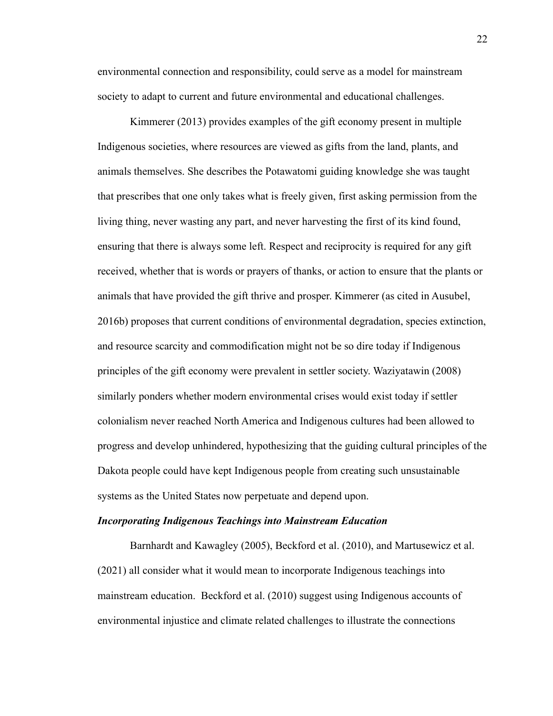environmental connection and responsibility, could serve as a model for mainstream society to adapt to current and future environmental and educational challenges.

Kimmerer (2013) provides examples of the gift economy present in multiple Indigenous societies, where resources are viewed as gifts from the land, plants, and animals themselves. She describes the Potawatomi guiding knowledge she was taught that prescribes that one only takes what is freely given, first asking permission from the living thing, never wasting any part, and never harvesting the first of its kind found, ensuring that there is always some left. Respect and reciprocity is required for any gift received, whether that is words or prayers of thanks, or action to ensure that the plants or animals that have provided the gift thrive and prosper. Kimmerer (as cited in Ausubel, 2016b) proposes that current conditions of environmental degradation, species extinction, and resource scarcity and commodification might not be so dire today if Indigenous principles of the gift economy were prevalent in settler society. Waziyatawin (2008) similarly ponders whether modern environmental crises would exist today if settler colonialism never reached North America and Indigenous cultures had been allowed to progress and develop unhindered, hypothesizing that the guiding cultural principles of the Dakota people could have kept Indigenous people from creating such unsustainable systems as the United States now perpetuate and depend upon.

#### *Incorporating Indigenous Teachings into Mainstream Education*

Barnhardt and Kawagley (2005), Beckford et al. (2010), and Martusewicz et al. (2021) all consider what it would mean to incorporate Indigenous teachings into mainstream education. Beckford et al. (2010) suggest using Indigenous accounts of environmental injustice and climate related challenges to illustrate the connections

22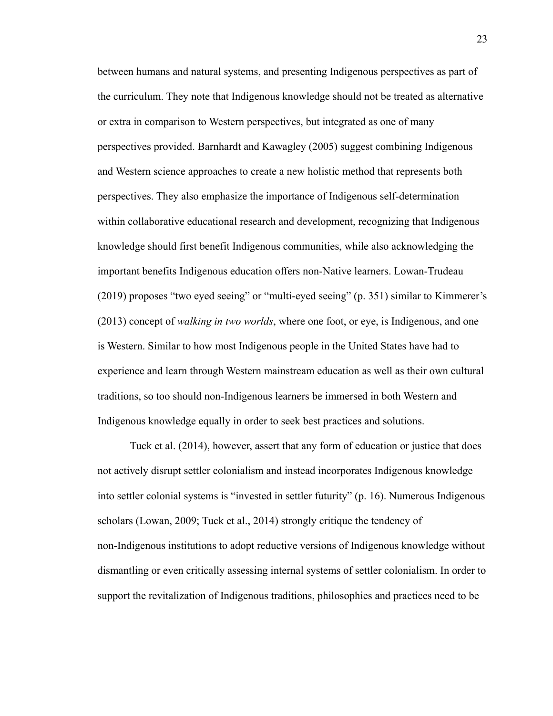between humans and natural systems, and presenting Indigenous perspectives as part of the curriculum. They note that Indigenous knowledge should not be treated as alternative or extra in comparison to Western perspectives, but integrated as one of many perspectives provided. Barnhardt and Kawagley (2005) suggest combining Indigenous and Western science approaches to create a new holistic method that represents both perspectives. They also emphasize the importance of Indigenous self-determination within collaborative educational research and development, recognizing that Indigenous knowledge should first benefit Indigenous communities, while also acknowledging the important benefits Indigenous education offers non-Native learners. Lowan-Trudeau (2019) proposes "two eyed seeing" or "multi-eyed seeing" (p. 351) similar to Kimmerer's (2013) concept of *walking in two worlds*, where one foot, or eye, is Indigenous, and one is Western. Similar to how most Indigenous people in the United States have had to experience and learn through Western mainstream education as well as their own cultural traditions, so too should non-Indigenous learners be immersed in both Western and Indigenous knowledge equally in order to seek best practices and solutions.

Tuck et al. (2014), however, assert that any form of education or justice that does not actively disrupt settler colonialism and instead incorporates Indigenous knowledge into settler colonial systems is "invested in settler futurity" (p. 16). Numerous Indigenous scholars (Lowan, 2009; Tuck et al., 2014) strongly critique the tendency of non-Indigenous institutions to adopt reductive versions of Indigenous knowledge without dismantling or even critically assessing internal systems of settler colonialism. In order to support the revitalization of Indigenous traditions, philosophies and practices need to be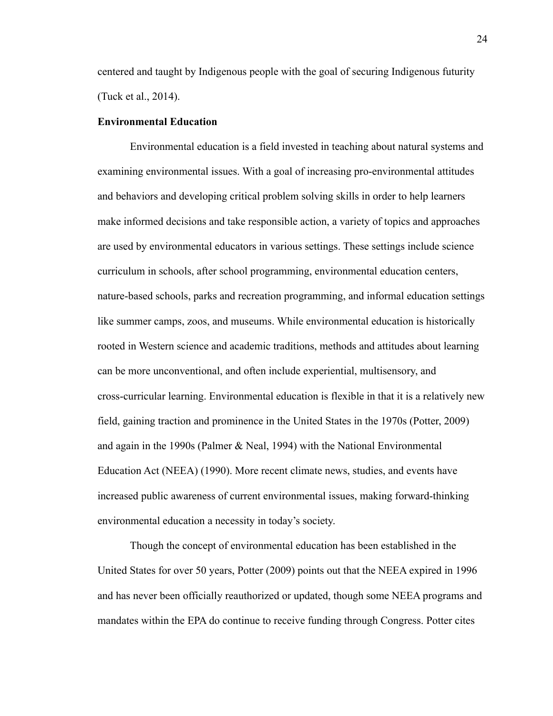centered and taught by Indigenous people with the goal of securing Indigenous futurity (Tuck et al., 2014).

#### **Environmental Education**

Environmental education is a field invested in teaching about natural systems and examining environmental issues. With a goal of increasing pro-environmental attitudes and behaviors and developing critical problem solving skills in order to help learners make informed decisions and take responsible action, a variety of topics and approaches are used by environmental educators in various settings. These settings include science curriculum in schools, after school programming, environmental education centers, nature-based schools, parks and recreation programming, and informal education settings like summer camps, zoos, and museums. While environmental education is historically rooted in Western science and academic traditions, methods and attitudes about learning can be more unconventional, and often include experiential, multisensory, and cross-curricular learning. Environmental education is flexible in that it is a relatively new field, gaining traction and prominence in the United States in the 1970s (Potter, 2009) and again in the 1990s (Palmer & Neal, 1994) with the National Environmental Education Act (NEEA) (1990). More recent climate news, studies, and events have increased public awareness of current environmental issues, making forward-thinking environmental education a necessity in today's society.

Though the concept of environmental education has been established in the United States for over 50 years, Potter (2009) points out that the NEEA expired in 1996 and has never been officially reauthorized or updated, though some NEEA programs and mandates within the EPA do continue to receive funding through Congress. Potter cites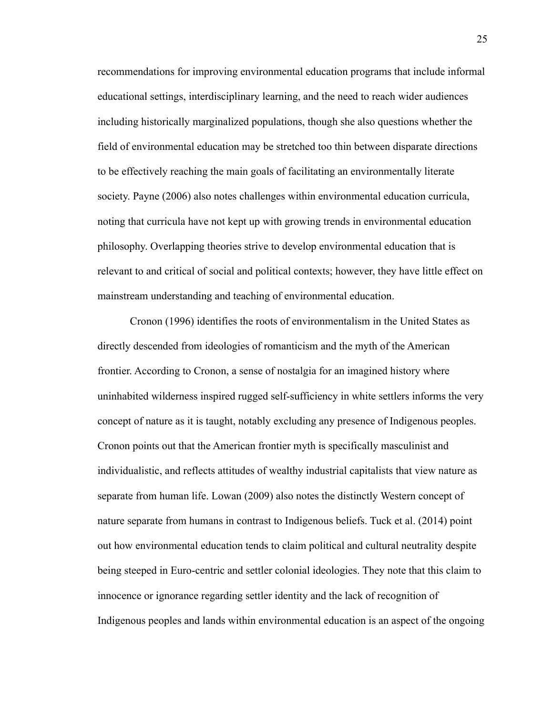recommendations for improving environmental education programs that include informal educational settings, interdisciplinary learning, and the need to reach wider audiences including historically marginalized populations, though she also questions whether the field of environmental education may be stretched too thin between disparate directions to be effectively reaching the main goals of facilitating an environmentally literate society. Payne (2006) also notes challenges within environmental education curricula, noting that curricula have not kept up with growing trends in environmental education philosophy. Overlapping theories strive to develop environmental education that is relevant to and critical of social and political contexts; however, they have little effect on mainstream understanding and teaching of environmental education.

Cronon (1996) identifies the roots of environmentalism in the United States as directly descended from ideologies of romanticism and the myth of the American frontier. According to Cronon, a sense of nostalgia for an imagined history where uninhabited wilderness inspired rugged self-sufficiency in white settlers informs the very concept of nature as it is taught, notably excluding any presence of Indigenous peoples. Cronon points out that the American frontier myth is specifically masculinist and individualistic, and reflects attitudes of wealthy industrial capitalists that view nature as separate from human life. Lowan (2009) also notes the distinctly Western concept of nature separate from humans in contrast to Indigenous beliefs. Tuck et al. (2014) point out how environmental education tends to claim political and cultural neutrality despite being steeped in Euro-centric and settler colonial ideologies. They note that this claim to innocence or ignorance regarding settler identity and the lack of recognition of Indigenous peoples and lands within environmental education is an aspect of the ongoing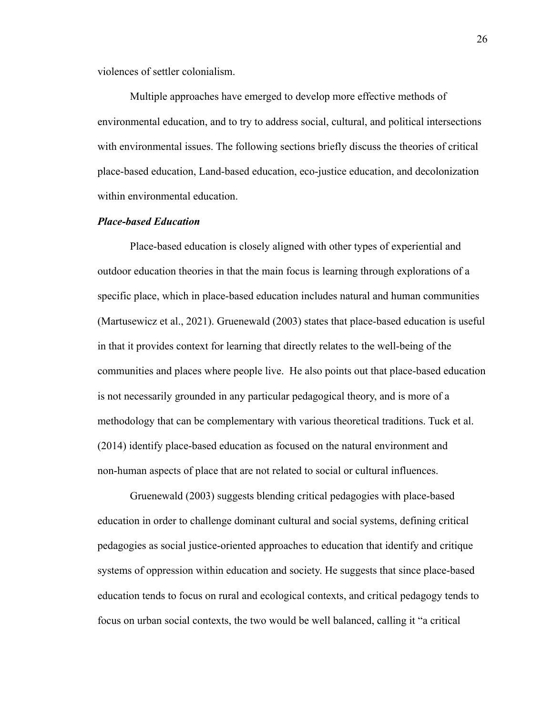violences of settler colonialism.

Multiple approaches have emerged to develop more effective methods of environmental education, and to try to address social, cultural, and political intersections with environmental issues. The following sections briefly discuss the theories of critical place-based education, Land-based education, eco-justice education, and decolonization within environmental education.

#### *Place-based Education*

Place-based education is closely aligned with other types of experiential and outdoor education theories in that the main focus is learning through explorations of a specific place, which in place-based education includes natural and human communities (Martusewicz et al., 2021). Gruenewald (2003) states that place-based education is useful in that it provides context for learning that directly relates to the well-being of the communities and places where people live. He also points out that place-based education is not necessarily grounded in any particular pedagogical theory, and is more of a methodology that can be complementary with various theoretical traditions. Tuck et al. (2014) identify place-based education as focused on the natural environment and non-human aspects of place that are not related to social or cultural influences.

Gruenewald (2003) suggests blending critical pedagogies with place-based education in order to challenge dominant cultural and social systems, defining critical pedagogies as social justice-oriented approaches to education that identify and critique systems of oppression within education and society. He suggests that since place-based education tends to focus on rural and ecological contexts, and critical pedagogy tends to focus on urban social contexts, the two would be well balanced, calling it "a critical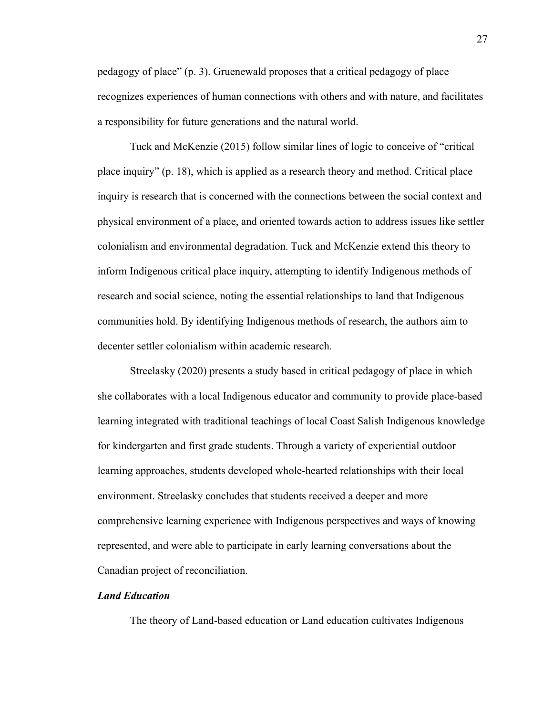pedagogy of place" (p. 3). Gruenewald proposes that a critical pedagogy of place recognizes experiences of human connections with others and with nature, and facilitates a responsibility for future generations and the natural world.

Tuck and McKenzie (2015) follow similar lines of logic to conceive of "critical place inquiry" (p. 18), which is applied as a research theory and method. Critical place inquiry is research that is concerned with the connections between the social context and physical environment of a place, and oriented towards action to address issues like settler colonialism and environmental degradation. Tuck and McKenzie extend this theory to inform Indigenous critical place inquiry, attempting to identify Indigenous methods of research and social science, noting the essential relationships to land that Indigenous communities hold. By identifying Indigenous methods of research, the authors aim to decenter settler colonialism within academic research.

Streelasky (2020) presents a study based in critical pedagogy of place in which she collaborates with a local Indigenous educator and community to provide place-based learning integrated with traditional teachings of local Coast Salish Indigenous knowledge for kindergarten and first grade students. Through a variety of experiential outdoor learning approaches, students developed whole-hearted relationships with their local environment. Streelasky concludes that students received a deeper and more comprehensive learning experience with Indigenous perspectives and ways of knowing represented, and were able to participate in early learning conversations about the Canadian project of reconciliation.

#### *Land Education*

The theory of Land-based education or Land education cultivates Indigenous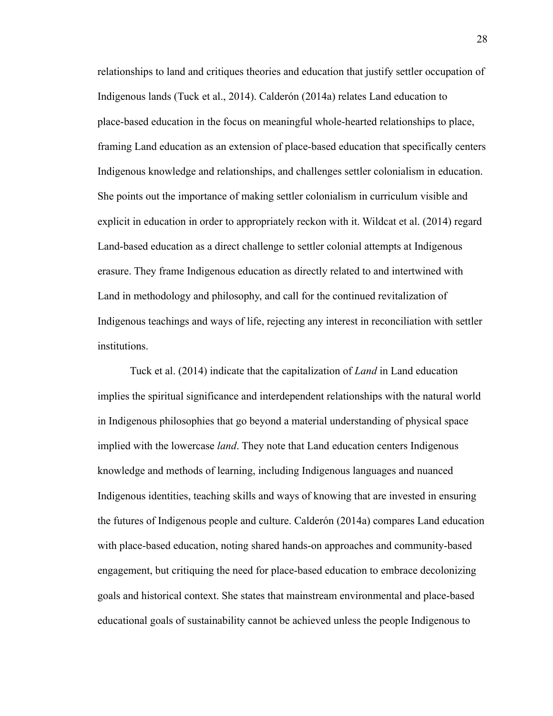relationships to land and critiques theories and education that justify settler occupation of Indigenous lands (Tuck et al., 2014). Calderón (2014a) relates Land education to place-based education in the focus on meaningful whole-hearted relationships to place, framing Land education as an extension of place-based education that specifically centers Indigenous knowledge and relationships, and challenges settler colonialism in education. She points out the importance of making settler colonialism in curriculum visible and explicit in education in order to appropriately reckon with it. Wildcat et al. (2014) regard Land-based education as a direct challenge to settler colonial attempts at Indigenous erasure. They frame Indigenous education as directly related to and intertwined with Land in methodology and philosophy, and call for the continued revitalization of Indigenous teachings and ways of life, rejecting any interest in reconciliation with settler institutions.

Tuck et al. (2014) indicate that the capitalization of *Land* in Land education implies the spiritual significance and interdependent relationships with the natural world in Indigenous philosophies that go beyond a material understanding of physical space implied with the lowercase *land*. They note that Land education centers Indigenous knowledge and methods of learning, including Indigenous languages and nuanced Indigenous identities, teaching skills and ways of knowing that are invested in ensuring the futures of Indigenous people and culture. Calderón (2014a) compares Land education with place-based education, noting shared hands-on approaches and community-based engagement, but critiquing the need for place-based education to embrace decolonizing goals and historical context. She states that mainstream environmental and place-based educational goals of sustainability cannot be achieved unless the people Indigenous to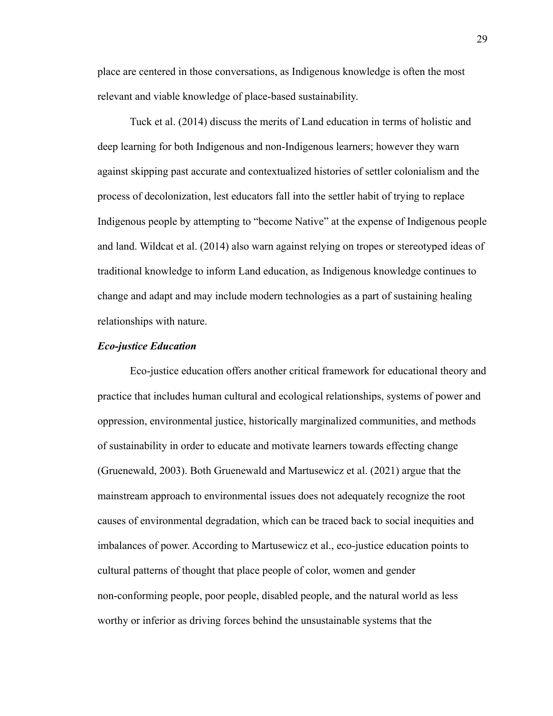place are centered in those conversations, as Indigenous knowledge is often the most relevant and viable knowledge of place-based sustainability.

Tuck et al. (2014) discuss the merits of Land education in terms of holistic and deep learning for both Indigenous and non-Indigenous learners; however they warn against skipping past accurate and contextualized histories of settler colonialism and the process of decolonization, lest educators fall into the settler habit of trying to replace Indigenous people by attempting to "become Native" at the expense of Indigenous people and land. Wildcat et al. (2014) also warn against relying on tropes or stereotyped ideas of traditional knowledge to inform Land education, as Indigenous knowledge continues to change and adapt and may include modern technologies as a part of sustaining healing relationships with nature.

#### *Eco-justice Education*

Eco-justice education offers another critical framework for educational theory and practice that includes human cultural and ecological relationships, systems of power and oppression, environmental justice, historically marginalized communities, and methods of sustainability in order to educate and motivate learners towards effecting change (Gruenewald, 2003). Both Gruenewald and Martusewicz et al. (2021) argue that the mainstream approach to environmental issues does not adequately recognize the root causes of environmental degradation, which can be traced back to social inequities and imbalances of power. According to Martusewicz et al., eco-justice education points to cultural patterns of thought that place people of color, women and gender non-conforming people, poor people, disabled people, and the natural world as less worthy or inferior as driving forces behind the unsustainable systems that the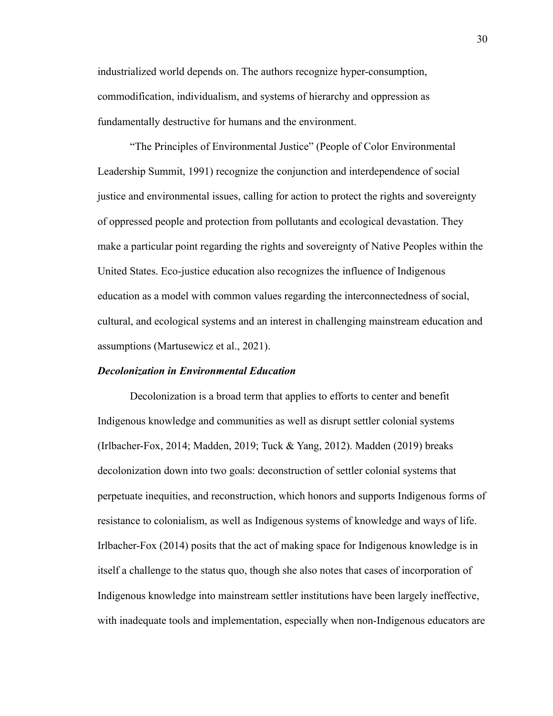industrialized world depends on. The authors recognize hyper-consumption, commodification, individualism, and systems of hierarchy and oppression as fundamentally destructive for humans and the environment.

"The Principles of Environmental Justice" (People of Color Environmental Leadership Summit, 1991) recognize the conjunction and interdependence of social justice and environmental issues, calling for action to protect the rights and sovereignty of oppressed people and protection from pollutants and ecological devastation. They make a particular point regarding the rights and sovereignty of Native Peoples within the United States. Eco-justice education also recognizes the influence of Indigenous education as a model with common values regarding the interconnectedness of social, cultural, and ecological systems and an interest in challenging mainstream education and assumptions (Martusewicz et al., 2021).

#### *Decolonization in Environmental Education*

Decolonization is a broad term that applies to efforts to center and benefit Indigenous knowledge and communities as well as disrupt settler colonial systems (Irlbacher-Fox, 2014; Madden, 2019; Tuck & Yang, 2012). Madden (2019) breaks decolonization down into two goals: deconstruction of settler colonial systems that perpetuate inequities, and reconstruction, which honors and supports Indigenous forms of resistance to colonialism, as well as Indigenous systems of knowledge and ways of life. Irlbacher-Fox (2014) posits that the act of making space for Indigenous knowledge is in itself a challenge to the status quo, though she also notes that cases of incorporation of Indigenous knowledge into mainstream settler institutions have been largely ineffective, with inadequate tools and implementation, especially when non-Indigenous educators are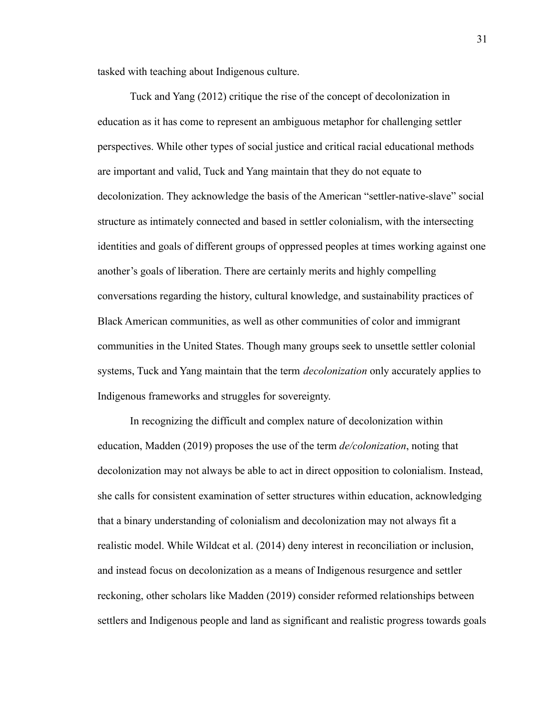tasked with teaching about Indigenous culture.

Tuck and Yang (2012) critique the rise of the concept of decolonization in education as it has come to represent an ambiguous metaphor for challenging settler perspectives. While other types of social justice and critical racial educational methods are important and valid, Tuck and Yang maintain that they do not equate to decolonization. They acknowledge the basis of the American "settler-native-slave" social structure as intimately connected and based in settler colonialism, with the intersecting identities and goals of different groups of oppressed peoples at times working against one another's goals of liberation. There are certainly merits and highly compelling conversations regarding the history, cultural knowledge, and sustainability practices of Black American communities, as well as other communities of color and immigrant communities in the United States. Though many groups seek to unsettle settler colonial systems, Tuck and Yang maintain that the term *decolonization* only accurately applies to Indigenous frameworks and struggles for sovereignty.

In recognizing the difficult and complex nature of decolonization within education, Madden (2019) proposes the use of the term *de/colonization*, noting that decolonization may not always be able to act in direct opposition to colonialism. Instead, she calls for consistent examination of setter structures within education, acknowledging that a binary understanding of colonialism and decolonization may not always fit a realistic model. While Wildcat et al. (2014) deny interest in reconciliation or inclusion, and instead focus on decolonization as a means of Indigenous resurgence and settler reckoning, other scholars like Madden (2019) consider reformed relationships between settlers and Indigenous people and land as significant and realistic progress towards goals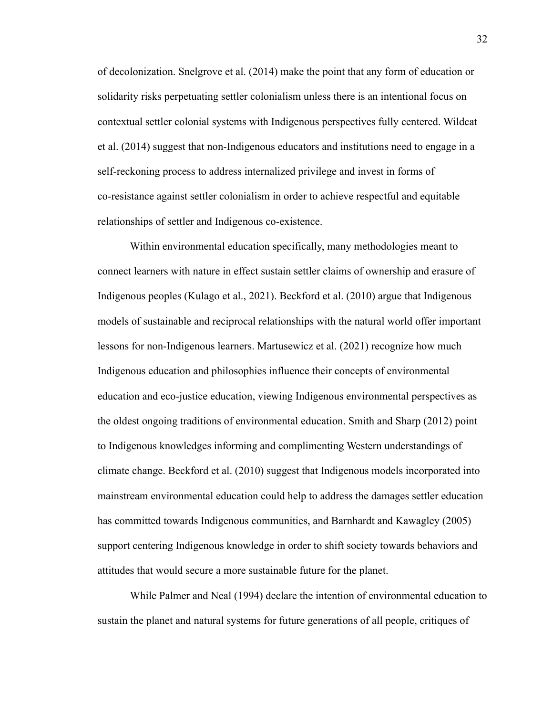of decolonization. Snelgrove et al. (2014) make the point that any form of education or solidarity risks perpetuating settler colonialism unless there is an intentional focus on contextual settler colonial systems with Indigenous perspectives fully centered. Wildcat et al. (2014) suggest that non-Indigenous educators and institutions need to engage in a self-reckoning process to address internalized privilege and invest in forms of co-resistance against settler colonialism in order to achieve respectful and equitable relationships of settler and Indigenous co-existence.

Within environmental education specifically, many methodologies meant to connect learners with nature in effect sustain settler claims of ownership and erasure of Indigenous peoples (Kulago et al., 2021). Beckford et al. (2010) argue that Indigenous models of sustainable and reciprocal relationships with the natural world offer important lessons for non-Indigenous learners. Martusewicz et al. (2021) recognize how much Indigenous education and philosophies influence their concepts of environmental education and eco-justice education, viewing Indigenous environmental perspectives as the oldest ongoing traditions of environmental education. Smith and Sharp (2012) point to Indigenous knowledges informing and complimenting Western understandings of climate change. Beckford et al. (2010) suggest that Indigenous models incorporated into mainstream environmental education could help to address the damages settler education has committed towards Indigenous communities, and Barnhardt and Kawagley (2005) support centering Indigenous knowledge in order to shift society towards behaviors and attitudes that would secure a more sustainable future for the planet.

While Palmer and Neal (1994) declare the intention of environmental education to sustain the planet and natural systems for future generations of all people, critiques of

32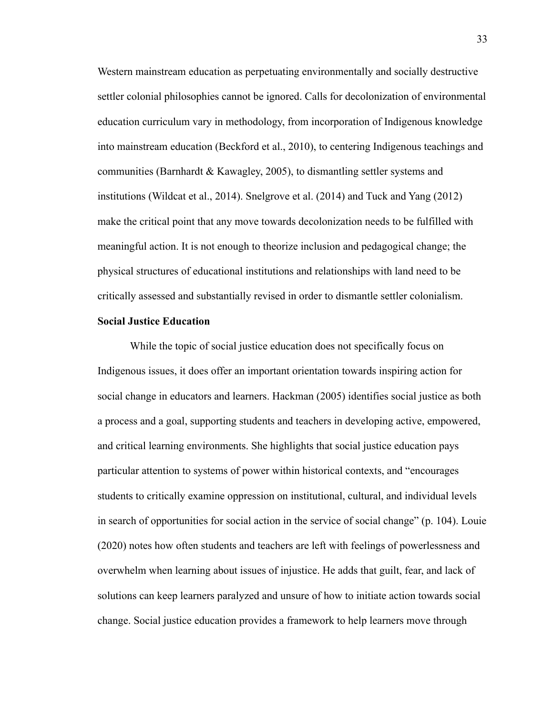Western mainstream education as perpetuating environmentally and socially destructive settler colonial philosophies cannot be ignored. Calls for decolonization of environmental education curriculum vary in methodology, from incorporation of Indigenous knowledge into mainstream education (Beckford et al., 2010), to centering Indigenous teachings and communities (Barnhardt & Kawagley, 2005), to dismantling settler systems and institutions (Wildcat et al., 2014). Snelgrove et al. (2014) and Tuck and Yang (2012) make the critical point that any move towards decolonization needs to be fulfilled with meaningful action. It is not enough to theorize inclusion and pedagogical change; the physical structures of educational institutions and relationships with land need to be critically assessed and substantially revised in order to dismantle settler colonialism.

#### **Social Justice Education**

While the topic of social justice education does not specifically focus on Indigenous issues, it does offer an important orientation towards inspiring action for social change in educators and learners. Hackman (2005) identifies social justice as both a process and a goal, supporting students and teachers in developing active, empowered, and critical learning environments. She highlights that social justice education pays particular attention to systems of power within historical contexts, and "encourages students to critically examine oppression on institutional, cultural, and individual levels in search of opportunities for social action in the service of social change" (p. 104). Louie (2020) notes how often students and teachers are left with feelings of powerlessness and overwhelm when learning about issues of injustice. He adds that guilt, fear, and lack of solutions can keep learners paralyzed and unsure of how to initiate action towards social change. Social justice education provides a framework to help learners move through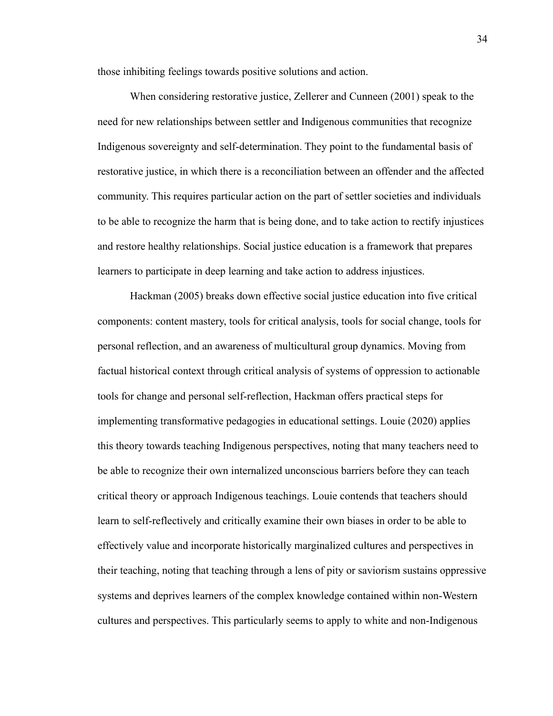those inhibiting feelings towards positive solutions and action.

When considering restorative justice, Zellerer and Cunneen (2001) speak to the need for new relationships between settler and Indigenous communities that recognize Indigenous sovereignty and self-determination. They point to the fundamental basis of restorative justice, in which there is a reconciliation between an offender and the affected community. This requires particular action on the part of settler societies and individuals to be able to recognize the harm that is being done, and to take action to rectify injustices and restore healthy relationships. Social justice education is a framework that prepares learners to participate in deep learning and take action to address injustices.

Hackman (2005) breaks down effective social justice education into five critical components: content mastery, tools for critical analysis, tools for social change, tools for personal reflection, and an awareness of multicultural group dynamics. Moving from factual historical context through critical analysis of systems of oppression to actionable tools for change and personal self-reflection, Hackman offers practical steps for implementing transformative pedagogies in educational settings. Louie (2020) applies this theory towards teaching Indigenous perspectives, noting that many teachers need to be able to recognize their own internalized unconscious barriers before they can teach critical theory or approach Indigenous teachings. Louie contends that teachers should learn to self-reflectively and critically examine their own biases in order to be able to effectively value and incorporate historically marginalized cultures and perspectives in their teaching, noting that teaching through a lens of pity or saviorism sustains oppressive systems and deprives learners of the complex knowledge contained within non-Western cultures and perspectives. This particularly seems to apply to white and non-Indigenous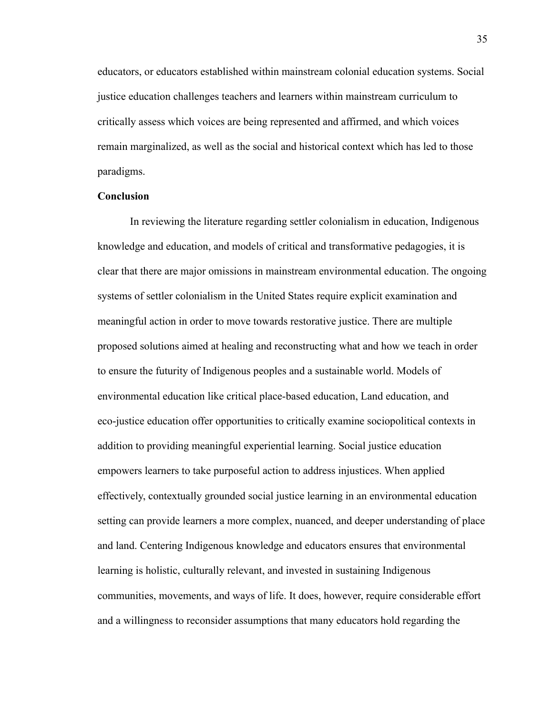educators, or educators established within mainstream colonial education systems. Social justice education challenges teachers and learners within mainstream curriculum to critically assess which voices are being represented and affirmed, and which voices remain marginalized, as well as the social and historical context which has led to those paradigms.

#### **Conclusion**

In reviewing the literature regarding settler colonialism in education, Indigenous knowledge and education, and models of critical and transformative pedagogies, it is clear that there are major omissions in mainstream environmental education. The ongoing systems of settler colonialism in the United States require explicit examination and meaningful action in order to move towards restorative justice. There are multiple proposed solutions aimed at healing and reconstructing what and how we teach in order to ensure the futurity of Indigenous peoples and a sustainable world. Models of environmental education like critical place-based education, Land education, and eco-justice education offer opportunities to critically examine sociopolitical contexts in addition to providing meaningful experiential learning. Social justice education empowers learners to take purposeful action to address injustices. When applied effectively, contextually grounded social justice learning in an environmental education setting can provide learners a more complex, nuanced, and deeper understanding of place and land. Centering Indigenous knowledge and educators ensures that environmental learning is holistic, culturally relevant, and invested in sustaining Indigenous communities, movements, and ways of life. It does, however, require considerable effort and a willingness to reconsider assumptions that many educators hold regarding the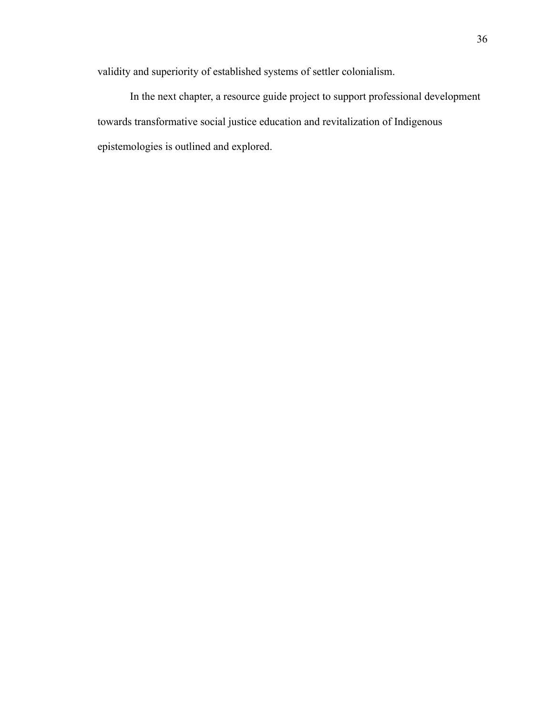validity and superiority of established systems of settler colonialism.

In the next chapter, a resource guide project to support professional development towards transformative social justice education and revitalization of Indigenous epistemologies is outlined and explored.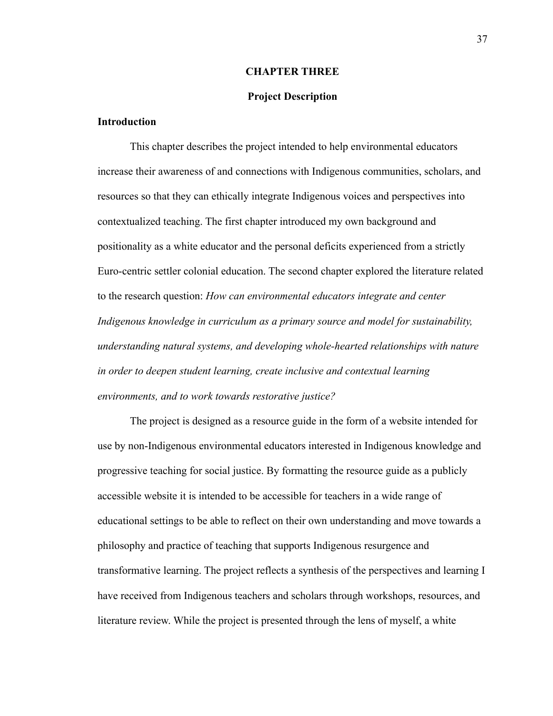#### **CHAPTER THREE**

#### **Project Description**

#### **Introduction**

This chapter describes the project intended to help environmental educators increase their awareness of and connections with Indigenous communities, scholars, and resources so that they can ethically integrate Indigenous voices and perspectives into contextualized teaching. The first chapter introduced my own background and positionality as a white educator and the personal deficits experienced from a strictly Euro-centric settler colonial education. The second chapter explored the literature related to the research question: *How can environmental educators integrate and center Indigenous knowledge in curriculum as a primary source and model for sustainability, understanding natural systems, and developing whole-hearted relationships with nature in order to deepen student learning, create inclusive and contextual learning environments, and to work towards restorative justice?*

The project is designed as a resource guide in the form of a website intended for use by non-Indigenous environmental educators interested in Indigenous knowledge and progressive teaching for social justice. By formatting the resource guide as a publicly accessible website it is intended to be accessible for teachers in a wide range of educational settings to be able to reflect on their own understanding and move towards a philosophy and practice of teaching that supports Indigenous resurgence and transformative learning. The project reflects a synthesis of the perspectives and learning I have received from Indigenous teachers and scholars through workshops, resources, and literature review. While the project is presented through the lens of myself, a white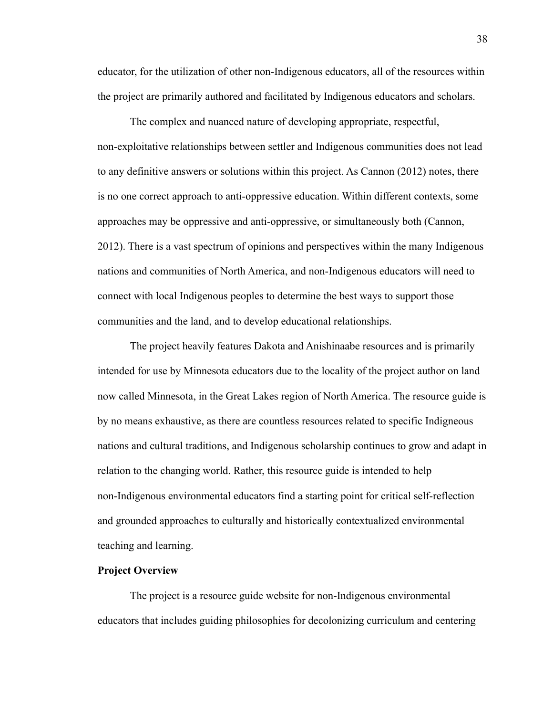educator, for the utilization of other non-Indigenous educators, all of the resources within the project are primarily authored and facilitated by Indigenous educators and scholars.

The complex and nuanced nature of developing appropriate, respectful, non-exploitative relationships between settler and Indigenous communities does not lead to any definitive answers or solutions within this project. As Cannon (2012) notes, there is no one correct approach to anti-oppressive education. Within different contexts, some approaches may be oppressive and anti-oppressive, or simultaneously both (Cannon, 2012). There is a vast spectrum of opinions and perspectives within the many Indigenous nations and communities of North America, and non-Indigenous educators will need to connect with local Indigenous peoples to determine the best ways to support those communities and the land, and to develop educational relationships.

The project heavily features Dakota and Anishinaabe resources and is primarily intended for use by Minnesota educators due to the locality of the project author on land now called Minnesota, in the Great Lakes region of North America. The resource guide is by no means exhaustive, as there are countless resources related to specific Indigneous nations and cultural traditions, and Indigenous scholarship continues to grow and adapt in relation to the changing world. Rather, this resource guide is intended to help non-Indigenous environmental educators find a starting point for critical self-reflection and grounded approaches to culturally and historically contextualized environmental teaching and learning.

#### **Project Overview**

The project is a resource guide website for non-Indigenous environmental educators that includes guiding philosophies for decolonizing curriculum and centering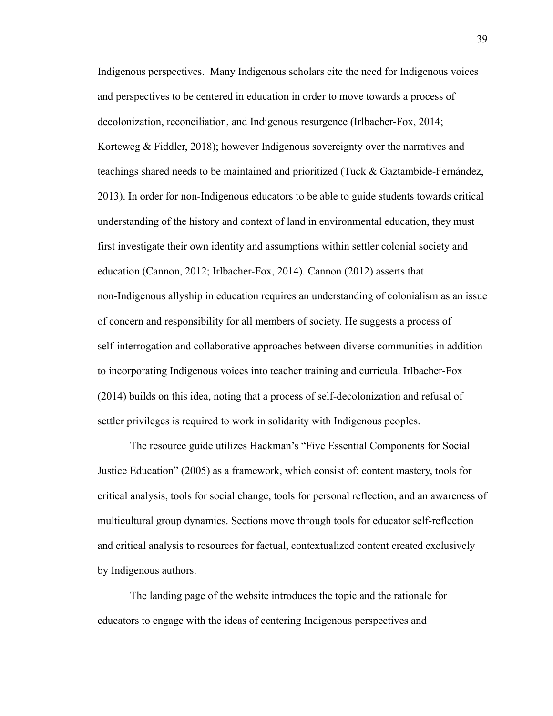Indigenous perspectives. Many Indigenous scholars cite the need for Indigenous voices and perspectives to be centered in education in order to move towards a process of decolonization, reconciliation, and Indigenous resurgence (Irlbacher-Fox, 2014; Korteweg & Fiddler, 2018); however Indigenous sovereignty over the narratives and teachings shared needs to be maintained and prioritized (Tuck & Gaztambide-Fernández, 2013). In order for non-Indigenous educators to be able to guide students towards critical understanding of the history and context of land in environmental education, they must first investigate their own identity and assumptions within settler colonial society and education (Cannon, 2012; Irlbacher-Fox, 2014). Cannon (2012) asserts that non-Indigenous allyship in education requires an understanding of colonialism as an issue of concern and responsibility for all members of society. He suggests a process of self-interrogation and collaborative approaches between diverse communities in addition to incorporating Indigenous voices into teacher training and curricula. Irlbacher-Fox (2014) builds on this idea, noting that a process of self-decolonization and refusal of settler privileges is required to work in solidarity with Indigenous peoples.

The resource guide utilizes Hackman's "Five Essential Components for Social Justice Education" (2005) as a framework, which consist of: content mastery, tools for critical analysis, tools for social change, tools for personal reflection, and an awareness of multicultural group dynamics. Sections move through tools for educator self-reflection and critical analysis to resources for factual, contextualized content created exclusively by Indigenous authors.

The landing page of the website introduces the topic and the rationale for educators to engage with the ideas of centering Indigenous perspectives and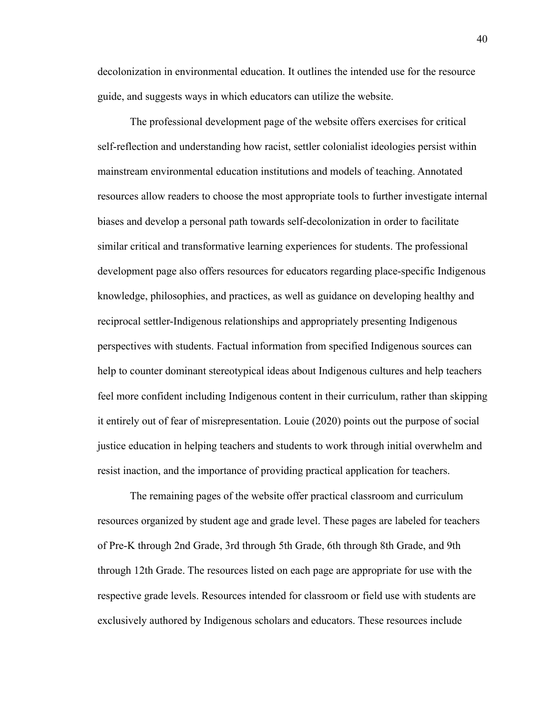decolonization in environmental education. It outlines the intended use for the resource guide, and suggests ways in which educators can utilize the website.

The professional development page of the website offers exercises for critical self-reflection and understanding how racist, settler colonialist ideologies persist within mainstream environmental education institutions and models of teaching. Annotated resources allow readers to choose the most appropriate tools to further investigate internal biases and develop a personal path towards self-decolonization in order to facilitate similar critical and transformative learning experiences for students. The professional development page also offers resources for educators regarding place-specific Indigenous knowledge, philosophies, and practices, as well as guidance on developing healthy and reciprocal settler-Indigenous relationships and appropriately presenting Indigenous perspectives with students. Factual information from specified Indigenous sources can help to counter dominant stereotypical ideas about Indigenous cultures and help teachers feel more confident including Indigenous content in their curriculum, rather than skipping it entirely out of fear of misrepresentation. Louie (2020) points out the purpose of social justice education in helping teachers and students to work through initial overwhelm and resist inaction, and the importance of providing practical application for teachers.

The remaining pages of the website offer practical classroom and curriculum resources organized by student age and grade level. These pages are labeled for teachers of Pre-K through 2nd Grade, 3rd through 5th Grade, 6th through 8th Grade, and 9th through 12th Grade. The resources listed on each page are appropriate for use with the respective grade levels. Resources intended for classroom or field use with students are exclusively authored by Indigenous scholars and educators. These resources include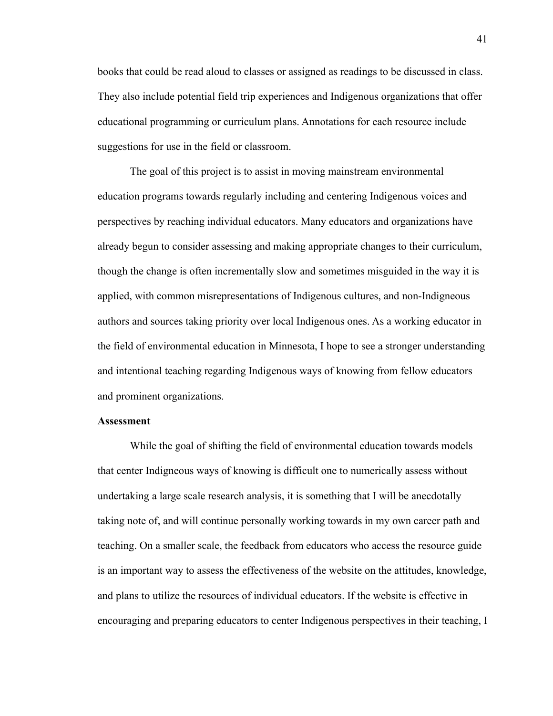books that could be read aloud to classes or assigned as readings to be discussed in class. They also include potential field trip experiences and Indigenous organizations that offer educational programming or curriculum plans. Annotations for each resource include suggestions for use in the field or classroom.

The goal of this project is to assist in moving mainstream environmental education programs towards regularly including and centering Indigenous voices and perspectives by reaching individual educators. Many educators and organizations have already begun to consider assessing and making appropriate changes to their curriculum, though the change is often incrementally slow and sometimes misguided in the way it is applied, with common misrepresentations of Indigenous cultures, and non-Indigneous authors and sources taking priority over local Indigenous ones. As a working educator in the field of environmental education in Minnesota, I hope to see a stronger understanding and intentional teaching regarding Indigenous ways of knowing from fellow educators and prominent organizations.

#### **Assessment**

While the goal of shifting the field of environmental education towards models that center Indigneous ways of knowing is difficult one to numerically assess without undertaking a large scale research analysis, it is something that I will be anecdotally taking note of, and will continue personally working towards in my own career path and teaching. On a smaller scale, the feedback from educators who access the resource guide is an important way to assess the effectiveness of the website on the attitudes, knowledge, and plans to utilize the resources of individual educators. If the website is effective in encouraging and preparing educators to center Indigenous perspectives in their teaching, I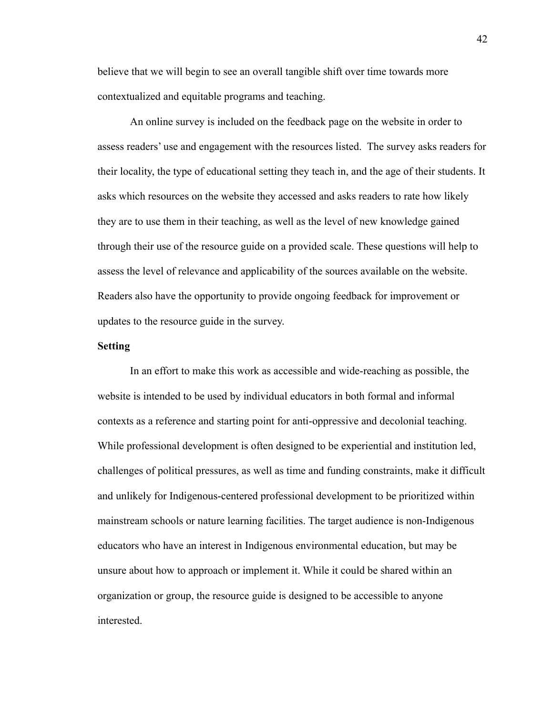believe that we will begin to see an overall tangible shift over time towards more contextualized and equitable programs and teaching.

An online survey is included on the feedback page on the website in order to assess readers' use and engagement with the resources listed. The survey asks readers for their locality, the type of educational setting they teach in, and the age of their students. It asks which resources on the website they accessed and asks readers to rate how likely they are to use them in their teaching, as well as the level of new knowledge gained through their use of the resource guide on a provided scale. These questions will help to assess the level of relevance and applicability of the sources available on the website. Readers also have the opportunity to provide ongoing feedback for improvement or updates to the resource guide in the survey.

#### **Setting**

In an effort to make this work as accessible and wide-reaching as possible, the website is intended to be used by individual educators in both formal and informal contexts as a reference and starting point for anti-oppressive and decolonial teaching. While professional development is often designed to be experiential and institution led, challenges of political pressures, as well as time and funding constraints, make it difficult and unlikely for Indigenous-centered professional development to be prioritized within mainstream schools or nature learning facilities. The target audience is non-Indigenous educators who have an interest in Indigenous environmental education, but may be unsure about how to approach or implement it. While it could be shared within an organization or group, the resource guide is designed to be accessible to anyone interested.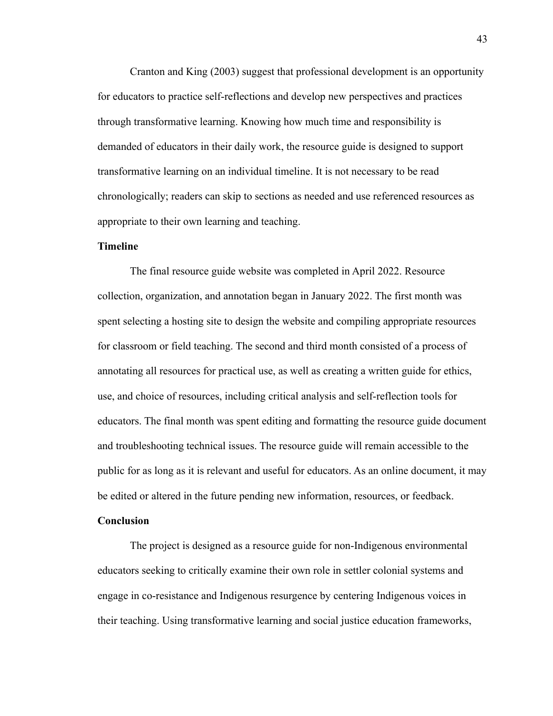Cranton and King (2003) suggest that professional development is an opportunity for educators to practice self-reflections and develop new perspectives and practices through transformative learning. Knowing how much time and responsibility is demanded of educators in their daily work, the resource guide is designed to support transformative learning on an individual timeline. It is not necessary to be read chronologically; readers can skip to sections as needed and use referenced resources as appropriate to their own learning and teaching.

#### **Timeline**

The final resource guide website was completed in April 2022. Resource collection, organization, and annotation began in January 2022. The first month was spent selecting a hosting site to design the website and compiling appropriate resources for classroom or field teaching. The second and third month consisted of a process of annotating all resources for practical use, as well as creating a written guide for ethics, use, and choice of resources, including critical analysis and self-reflection tools for educators. The final month was spent editing and formatting the resource guide document and troubleshooting technical issues. The resource guide will remain accessible to the public for as long as it is relevant and useful for educators. As an online document, it may be edited or altered in the future pending new information, resources, or feedback.

#### **Conclusion**

The project is designed as a resource guide for non-Indigenous environmental educators seeking to critically examine their own role in settler colonial systems and engage in co-resistance and Indigenous resurgence by centering Indigenous voices in their teaching. Using transformative learning and social justice education frameworks,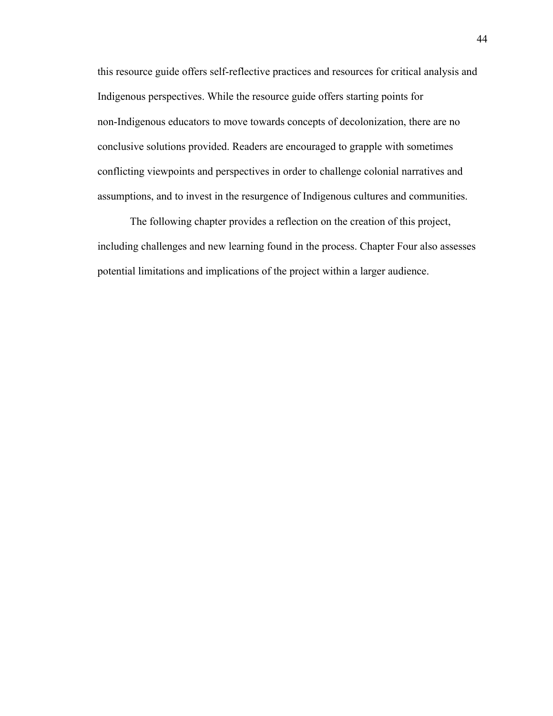this resource guide offers self-reflective practices and resources for critical analysis and Indigenous perspectives. While the resource guide offers starting points for non-Indigenous educators to move towards concepts of decolonization, there are no conclusive solutions provided. Readers are encouraged to grapple with sometimes conflicting viewpoints and perspectives in order to challenge colonial narratives and assumptions, and to invest in the resurgence of Indigenous cultures and communities.

The following chapter provides a reflection on the creation of this project, including challenges and new learning found in the process. Chapter Four also assesses potential limitations and implications of the project within a larger audience.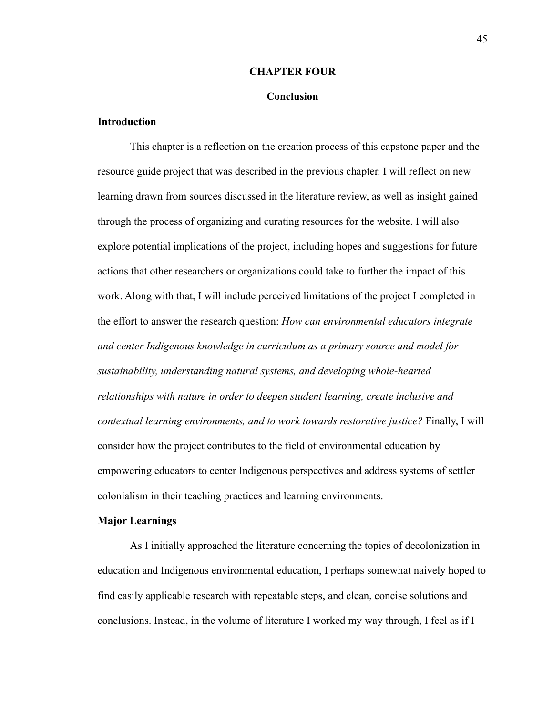#### **CHAPTER FOUR**

#### **Conclusion**

#### **Introduction**

This chapter is a reflection on the creation process of this capstone paper and the resource guide project that was described in the previous chapter. I will reflect on new learning drawn from sources discussed in the literature review, as well as insight gained through the process of organizing and curating resources for the website. I will also explore potential implications of the project, including hopes and suggestions for future actions that other researchers or organizations could take to further the impact of this work. Along with that, I will include perceived limitations of the project I completed in the effort to answer the research question: *How can environmental educators integrate and center Indigenous knowledge in curriculum as a primary source and model for sustainability, understanding natural systems, and developing whole-hearted relationships with nature in order to deepen student learning, create inclusive and contextual learning environments, and to work towards restorative justice?* Finally, I will consider how the project contributes to the field of environmental education by empowering educators to center Indigenous perspectives and address systems of settler colonialism in their teaching practices and learning environments.

#### **Major Learnings**

As I initially approached the literature concerning the topics of decolonization in education and Indigenous environmental education, I perhaps somewhat naively hoped to find easily applicable research with repeatable steps, and clean, concise solutions and conclusions. Instead, in the volume of literature I worked my way through, I feel as if I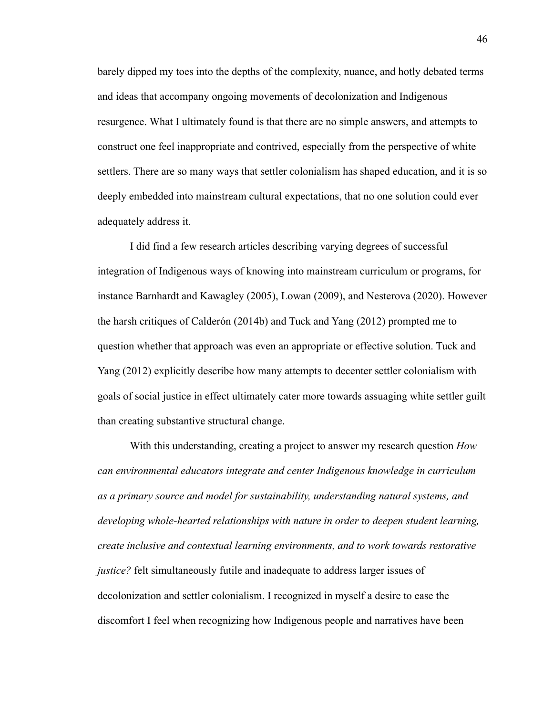barely dipped my toes into the depths of the complexity, nuance, and hotly debated terms and ideas that accompany ongoing movements of decolonization and Indigenous resurgence. What I ultimately found is that there are no simple answers, and attempts to construct one feel inappropriate and contrived, especially from the perspective of white settlers. There are so many ways that settler colonialism has shaped education, and it is so deeply embedded into mainstream cultural expectations, that no one solution could ever adequately address it.

I did find a few research articles describing varying degrees of successful integration of Indigenous ways of knowing into mainstream curriculum or programs, for instance Barnhardt and Kawagley (2005), Lowan (2009), and Nesterova (2020). However the harsh critiques of Calderón (2014b) and Tuck and Yang (2012) prompted me to question whether that approach was even an appropriate or effective solution. Tuck and Yang (2012) explicitly describe how many attempts to decenter settler colonialism with goals of social justice in effect ultimately cater more towards assuaging white settler guilt than creating substantive structural change.

With this understanding, creating a project to answer my research question *How can environmental educators integrate and center Indigenous knowledge in curriculum as a primary source and model for sustainability, understanding natural systems, and developing whole-hearted relationships with nature in order to deepen student learning, create inclusive and contextual learning environments, and to work towards restorative justice?* felt simultaneously futile and inadequate to address larger issues of decolonization and settler colonialism. I recognized in myself a desire to ease the discomfort I feel when recognizing how Indigenous people and narratives have been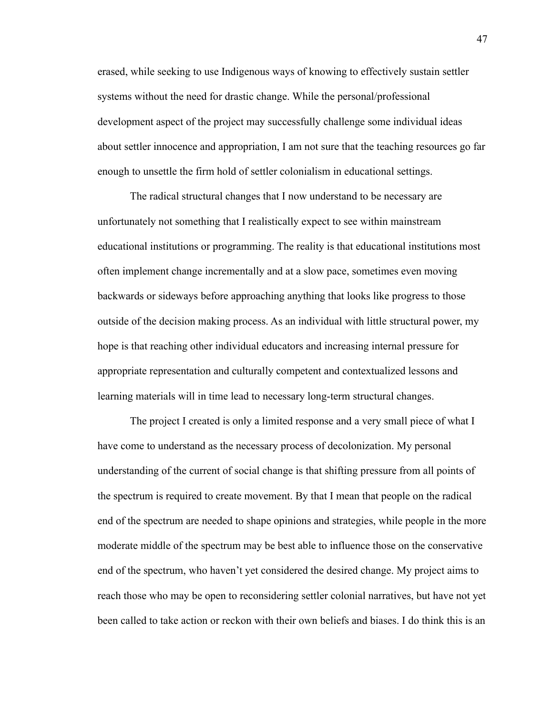erased, while seeking to use Indigenous ways of knowing to effectively sustain settler systems without the need for drastic change. While the personal/professional development aspect of the project may successfully challenge some individual ideas about settler innocence and appropriation, I am not sure that the teaching resources go far enough to unsettle the firm hold of settler colonialism in educational settings.

The radical structural changes that I now understand to be necessary are unfortunately not something that I realistically expect to see within mainstream educational institutions or programming. The reality is that educational institutions most often implement change incrementally and at a slow pace, sometimes even moving backwards or sideways before approaching anything that looks like progress to those outside of the decision making process. As an individual with little structural power, my hope is that reaching other individual educators and increasing internal pressure for appropriate representation and culturally competent and contextualized lessons and learning materials will in time lead to necessary long-term structural changes.

The project I created is only a limited response and a very small piece of what I have come to understand as the necessary process of decolonization. My personal understanding of the current of social change is that shifting pressure from all points of the spectrum is required to create movement. By that I mean that people on the radical end of the spectrum are needed to shape opinions and strategies, while people in the more moderate middle of the spectrum may be best able to influence those on the conservative end of the spectrum, who haven't yet considered the desired change. My project aims to reach those who may be open to reconsidering settler colonial narratives, but have not yet been called to take action or reckon with their own beliefs and biases. I do think this is an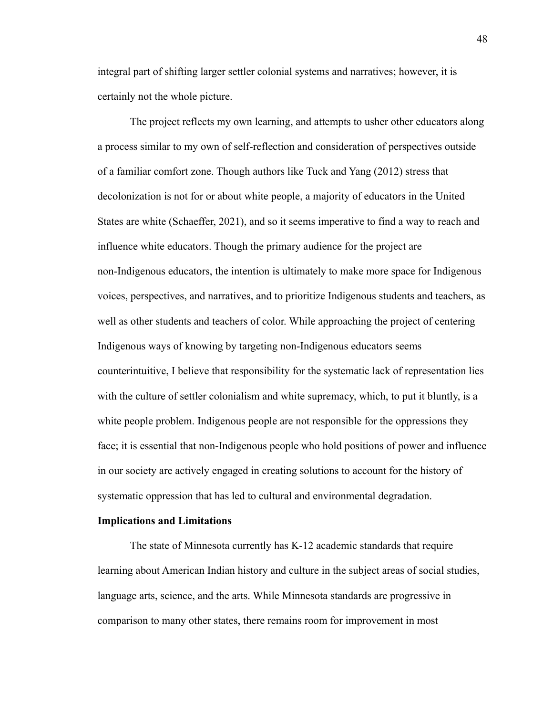integral part of shifting larger settler colonial systems and narratives; however, it is certainly not the whole picture.

The project reflects my own learning, and attempts to usher other educators along a process similar to my own of self-reflection and consideration of perspectives outside of a familiar comfort zone. Though authors like Tuck and Yang (2012) stress that decolonization is not for or about white people, a majority of educators in the United States are white (Schaeffer, 2021), and so it seems imperative to find a way to reach and influence white educators. Though the primary audience for the project are non-Indigenous educators, the intention is ultimately to make more space for Indigenous voices, perspectives, and narratives, and to prioritize Indigenous students and teachers, as well as other students and teachers of color. While approaching the project of centering Indigenous ways of knowing by targeting non-Indigenous educators seems counterintuitive, I believe that responsibility for the systematic lack of representation lies with the culture of settler colonialism and white supremacy, which, to put it bluntly, is a white people problem. Indigenous people are not responsible for the oppressions they face; it is essential that non-Indigenous people who hold positions of power and influence in our society are actively engaged in creating solutions to account for the history of systematic oppression that has led to cultural and environmental degradation.

#### **Implications and Limitations**

The state of Minnesota currently has K-12 academic standards that require learning about American Indian history and culture in the subject areas of social studies, language arts, science, and the arts. While Minnesota standards are progressive in comparison to many other states, there remains room for improvement in most

48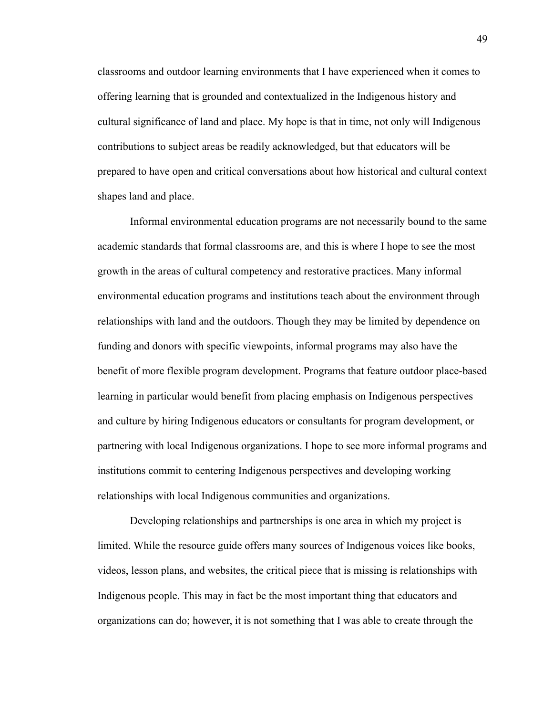classrooms and outdoor learning environments that I have experienced when it comes to offering learning that is grounded and contextualized in the Indigenous history and cultural significance of land and place. My hope is that in time, not only will Indigenous contributions to subject areas be readily acknowledged, but that educators will be prepared to have open and critical conversations about how historical and cultural context shapes land and place.

Informal environmental education programs are not necessarily bound to the same academic standards that formal classrooms are, and this is where I hope to see the most growth in the areas of cultural competency and restorative practices. Many informal environmental education programs and institutions teach about the environment through relationships with land and the outdoors. Though they may be limited by dependence on funding and donors with specific viewpoints, informal programs may also have the benefit of more flexible program development. Programs that feature outdoor place-based learning in particular would benefit from placing emphasis on Indigenous perspectives and culture by hiring Indigenous educators or consultants for program development, or partnering with local Indigenous organizations. I hope to see more informal programs and institutions commit to centering Indigenous perspectives and developing working relationships with local Indigenous communities and organizations.

Developing relationships and partnerships is one area in which my project is limited. While the resource guide offers many sources of Indigenous voices like books, videos, lesson plans, and websites, the critical piece that is missing is relationships with Indigenous people. This may in fact be the most important thing that educators and organizations can do; however, it is not something that I was able to create through the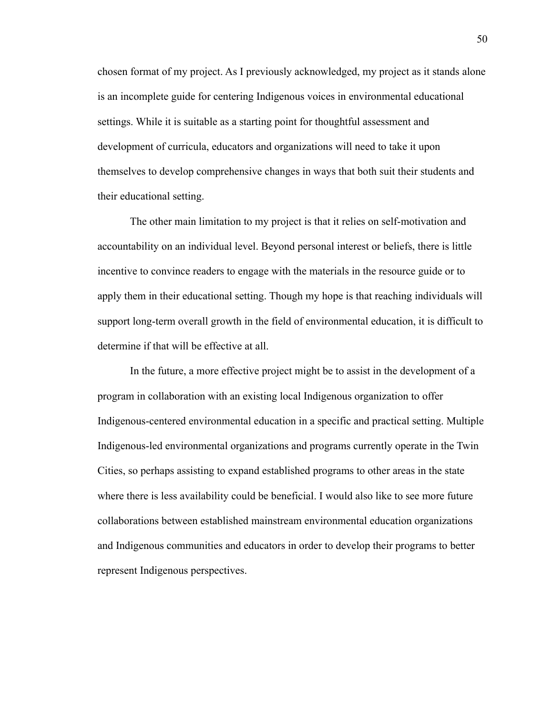chosen format of my project. As I previously acknowledged, my project as it stands alone is an incomplete guide for centering Indigenous voices in environmental educational settings. While it is suitable as a starting point for thoughtful assessment and development of curricula, educators and organizations will need to take it upon themselves to develop comprehensive changes in ways that both suit their students and their educational setting.

The other main limitation to my project is that it relies on self-motivation and accountability on an individual level. Beyond personal interest or beliefs, there is little incentive to convince readers to engage with the materials in the resource guide or to apply them in their educational setting. Though my hope is that reaching individuals will support long-term overall growth in the field of environmental education, it is difficult to determine if that will be effective at all.

In the future, a more effective project might be to assist in the development of a program in collaboration with an existing local Indigenous organization to offer Indigenous-centered environmental education in a specific and practical setting. Multiple Indigenous-led environmental organizations and programs currently operate in the Twin Cities, so perhaps assisting to expand established programs to other areas in the state where there is less availability could be beneficial. I would also like to see more future collaborations between established mainstream environmental education organizations and Indigenous communities and educators in order to develop their programs to better represent Indigenous perspectives.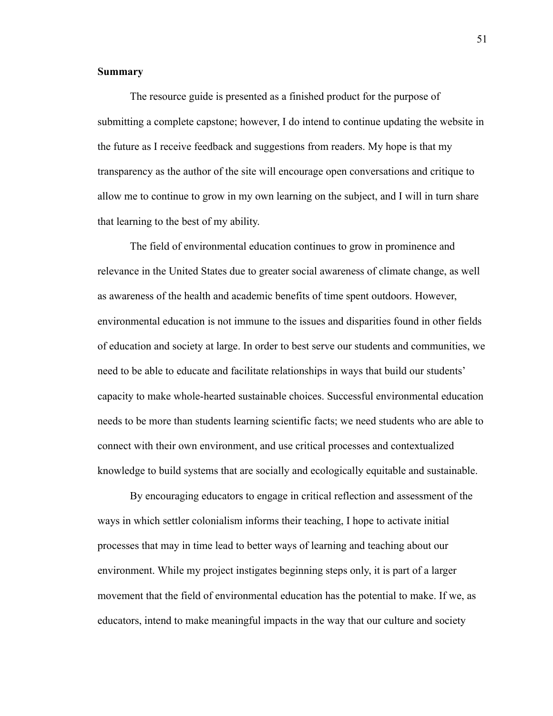#### **Summary**

The resource guide is presented as a finished product for the purpose of submitting a complete capstone; however, I do intend to continue updating the website in the future as I receive feedback and suggestions from readers. My hope is that my transparency as the author of the site will encourage open conversations and critique to allow me to continue to grow in my own learning on the subject, and I will in turn share that learning to the best of my ability.

The field of environmental education continues to grow in prominence and relevance in the United States due to greater social awareness of climate change, as well as awareness of the health and academic benefits of time spent outdoors. However, environmental education is not immune to the issues and disparities found in other fields of education and society at large. In order to best serve our students and communities, we need to be able to educate and facilitate relationships in ways that build our students' capacity to make whole-hearted sustainable choices. Successful environmental education needs to be more than students learning scientific facts; we need students who are able to connect with their own environment, and use critical processes and contextualized knowledge to build systems that are socially and ecologically equitable and sustainable.

By encouraging educators to engage in critical reflection and assessment of the ways in which settler colonialism informs their teaching, I hope to activate initial processes that may in time lead to better ways of learning and teaching about our environment. While my project instigates beginning steps only, it is part of a larger movement that the field of environmental education has the potential to make. If we, as educators, intend to make meaningful impacts in the way that our culture and society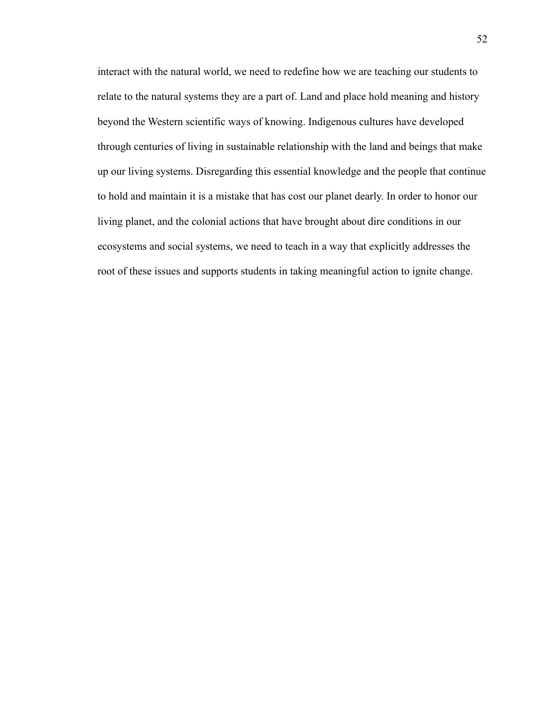interact with the natural world, we need to redefine how we are teaching our students to relate to the natural systems they are a part of. Land and place hold meaning and history beyond the Western scientific ways of knowing. Indigenous cultures have developed through centuries of living in sustainable relationship with the land and beings that make up our living systems. Disregarding this essential knowledge and the people that continue to hold and maintain it is a mistake that has cost our planet dearly. In order to honor our living planet, and the colonial actions that have brought about dire conditions in our ecosystems and social systems, we need to teach in a way that explicitly addresses the root of these issues and supports students in taking meaningful action to ignite change.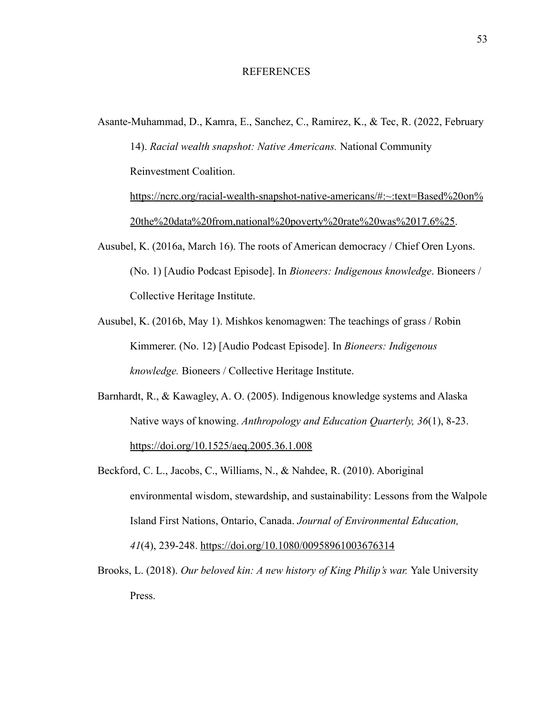#### REFERENCES

Asante-Muhammad, D., Kamra, E., Sanchez, C., Ramirez, K., & Tec, R. (2022, February

14). *Racial wealth snapshot: Native Americans.* National Community Reinvestment Coalition.

[https://ncrc.org/racial-wealth-snapshot-native-americans/#:~:text=Based%20on%](https://ncrc.org/racial-wealth-snapshot-native-americans/#:~:text=Based%20on%20the%20data%20from,national%20poverty%20rate%20was%2017.6%25) [20the%20data%20from,national%20poverty%20rate%20was%2017.6%25.](https://ncrc.org/racial-wealth-snapshot-native-americans/#:~:text=Based%20on%20the%20data%20from,national%20poverty%20rate%20was%2017.6%25)

- Ausubel, K. (2016a, March 16). The roots of American democracy / Chief Oren Lyons. (No. 1) [Audio Podcast Episode]. In *Bioneers: Indigenous knowledge*. Bioneers / Collective Heritage Institute.
- Ausubel, K. (2016b, May 1). Mishkos kenomagwen: The teachings of grass / Robin Kimmerer. (No. 12) [Audio Podcast Episode]. In *Bioneers: Indigenous knowledge.* Bioneers / Collective Heritage Institute.
- Barnhardt, R., & Kawagley, A. O. (2005). Indigenous knowledge systems and Alaska Native ways of knowing. *Anthropology and Education Quarterly, 36*(1), 8-23. <https://doi.org/10.1525/aeq.2005.36.1.008>
- Beckford, C. L., Jacobs, C., Williams, N., & Nahdee, R. (2010). Aboriginal environmental wisdom, stewardship, and sustainability: Lessons from the Walpole Island First Nations, Ontario, Canada. *Journal of Environmental Education, 41*(4), 239-248. <https://doi.org/10.1080/00958961003676314>
- Brooks, L. (2018). *Our beloved kin: A new history of King Philip's war.* Yale University Press.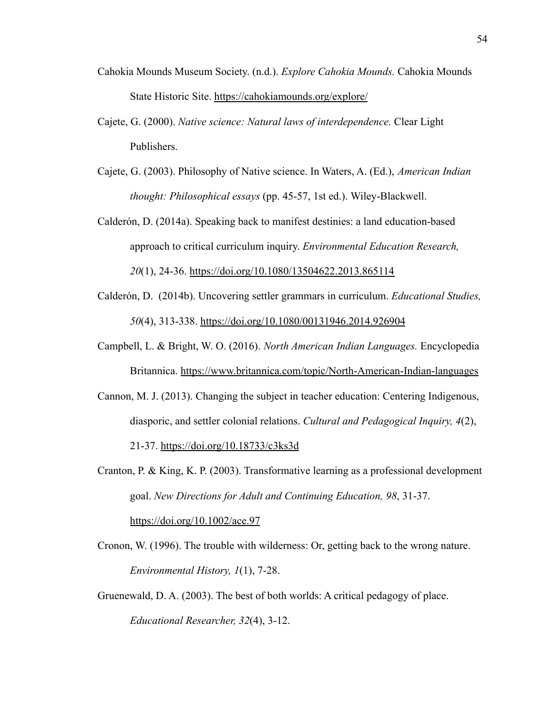- Cahokia Mounds Museum Society. (n.d.). *Explore Cahokia Mounds.* Cahokia Mounds State Historic Site. <https://cahokiamounds.org/explore/>
- Cajete, G. (2000). *Native science: Natural laws of interdependence.* Clear Light Publishers.
- Cajete, G. (2003). Philosophy of Native science. In Waters, A. (Ed.), *American Indian thought: Philosophical essays* (pp. 45-57, 1st ed.). Wiley-Blackwell.
- Calderón, D. (2014a). Speaking back to manifest destinies: a land education-based approach to critical curriculum inquiry. *Environmental Education Research, 20*(1), 24-36. <https://doi.org/10.1080/13504622.2013.865114>
- Calderón, D. (2014b). Uncovering settler grammars in curriculum. *Educational Studies, 50*(4), 313-338. <https://doi.org/10.1080/00131946.2014.926904>
- Campbell, L. & Bright, W. O. (2016). *North American Indian Languages.* Encyclopedia Britannica. <https://www.britannica.com/topic/North-American-Indian-languages>
- Cannon, M. J. (2013). Changing the subject in teacher education: Centering Indigenous, diasporic, and settler colonial relations. *Cultural and Pedagogical Inquiry, 4*(2), 21-37. <https://doi.org/10.18733/c3ks3d>
- Cranton, P. & King, K. P. (2003). Transformative learning as a professional development goal. *New Directions for Adult and Continuing Education, 98*, 31-37. <https://doi.org/10.1002/ace.97>
- Cronon, W. (1996). The trouble with wilderness: Or, getting back to the wrong nature. *Environmental History, 1*(1), 7-28.
- Gruenewald, D. A. (2003). The best of both worlds: A critical pedagogy of place. *Educational Researcher, 32*(4), 3-12.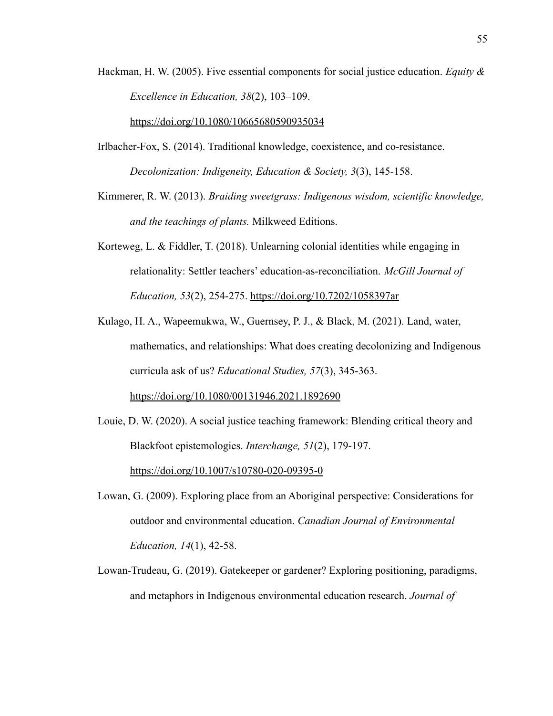Hackman, H. W. (2005). Five essential components for social justice education. *Equity & Excellence in Education, 38*(2), 103–109.

<https://doi.org/10.1080/10665680590935034>

- Irlbacher-Fox, S. (2014). Traditional knowledge, coexistence, and co-resistance. *Decolonization: Indigeneity, Education & Society, 3*(3), 145-158.
- Kimmerer, R. W. (2013). *Braiding sweetgrass: Indigenous wisdom, scientific knowledge, and the teachings of plants.* Milkweed Editions.
- Korteweg, L. & Fiddler, T. (2018). Unlearning colonial identities while engaging in relationality: Settler teachers' education-as-reconciliation. *McGill Journal of Education, 53*(2), 254-275. <https://doi.org/10.7202/1058397ar>
- Kulago, H. A., Wapeemukwa, W., Guernsey, P. J., & Black, M. (2021). Land, water, mathematics, and relationships: What does creating decolonizing and Indigenous curricula ask of us? *Educational Studies, 57*(3), 345-363. <https://doi.org/10.1080/00131946.2021.1892690>
- Louie, D. W. (2020). A social justice teaching framework: Blending critical theory and Blackfoot epistemologies. *Interchange, 51*(2), 179-197. <https://doi.org/10.1007/s10780-020-09395-0>
- Lowan, G. (2009). Exploring place from an Aboriginal perspective: Considerations for outdoor and environmental education. *Canadian Journal of Environmental Education, 14*(1), 42-58.
- Lowan-Trudeau, G. (2019). Gatekeeper or gardener? Exploring positioning, paradigms, and metaphors in Indigenous environmental education research. *Journal of*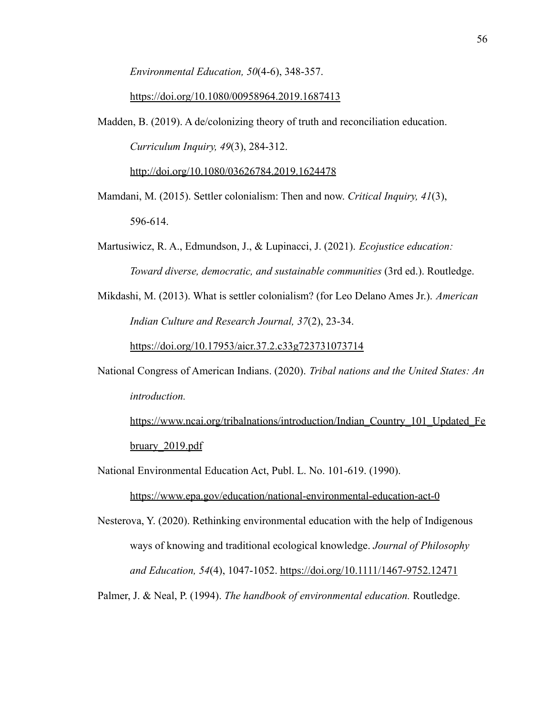*Environmental Education, 50*(4-6), 348-357.

#### <https://doi.org/10.1080/00958964.2019.1687413>

Madden, B. (2019). A de/colonizing theory of truth and reconciliation education. *Curriculum Inquiry, 49*(3), 284-312. <http://doi.org/10.1080/03626784.2019.1624478>

Mamdani, M. (2015). Settler colonialism: Then and now. *Critical Inquiry, 41*(3), 596-614.

- Martusiwicz, R. A., Edmundson, J., & Lupinacci, J. (2021). *Ecojustice education: Toward diverse, democratic, and sustainable communities* (3rd ed.). Routledge.
- Mikdashi, M. (2013). What is settler colonialism? (for Leo Delano Ames Jr.). *American Indian Culture and Research Journal, 37*(2), 23-34.

<https://doi.org/10.17953/aicr.37.2.c33g723731073714>

National Congress of American Indians. (2020). *Tribal nations and the United States: An introduction.*

[https://www.ncai.org/tribalnations/introduction/Indian\\_Country\\_101\\_Updated\\_Fe](https://www.ncai.org/tribalnations/introduction/Indian_Country_101_Updated_February_2019.pdf) [bruary\\_2019.pdf](https://www.ncai.org/tribalnations/introduction/Indian_Country_101_Updated_February_2019.pdf)

National Environmental Education Act, Publ. L. No. 101-619. (1990).

<https://www.epa.gov/education/national-environmental-education-act-0>

Nesterova, Y. (2020). Rethinking environmental education with the help of Indigenous ways of knowing and traditional ecological knowledge. *Journal of Philosophy and Education, 54*(4), 1047-1052. <https://doi.org/10.1111/1467-9752.12471>

Palmer, J. & Neal, P. (1994). *The handbook of environmental education.* Routledge.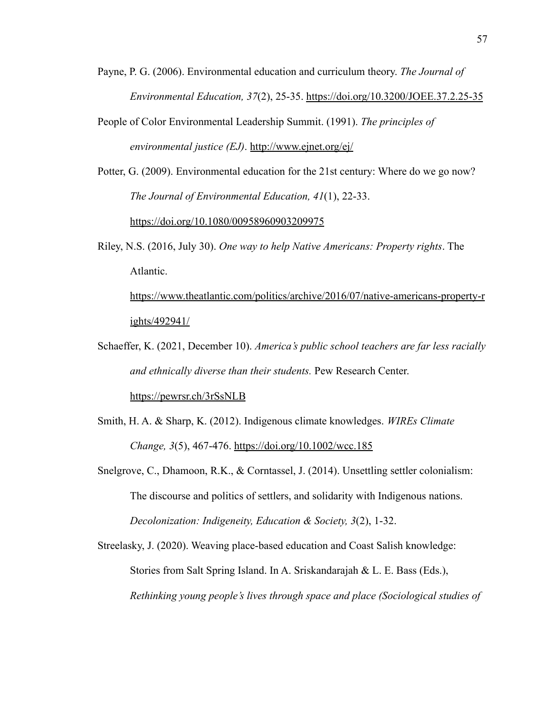- Payne, P. G. (2006). Environmental education and curriculum theory. *The Journal of Environmental Education, 37*(2), 25-35. <https://doi.org/10.3200/JOEE.37.2.25-35>
- People of Color Environmental Leadership Summit. (1991). *The principles of environmental justice (EJ)*. <http://www.ejnet.org/ej/>
- Potter, G. (2009). Environmental education for the 21st century: Where do we go now? *The Journal of Environmental Education, 41*(1), 22-33. <https://doi.org/10.1080/00958960903209975>
- Riley, N.S. (2016, July 30). *One way to help Native Americans: Property rights*. The Atlantic.

[https://www.theatlantic.com/politics/archive/2016/07/native-americans-property-r](https://www.theatlantic.com/politics/archive/2016/07/native-americans-property-rights/492941/) [ights/492941/](https://www.theatlantic.com/politics/archive/2016/07/native-americans-property-rights/492941/)

- Schaeffer, K. (2021, December 10). *America's public school teachers are far less racially and ethnically diverse than their students.* Pew Research Center. <https://pewrsr.ch/3rSsNLB>
- Smith, H. A. & Sharp, K. (2012). Indigenous climate knowledges. *WIREs Climate Change, 3*(5), 467-476. <https://doi.org/10.1002/wcc.185>
- Snelgrove, C., Dhamoon, R.K., & Corntassel, J. (2014). Unsettling settler colonialism: The discourse and politics of settlers, and solidarity with Indigenous nations. *Decolonization: Indigeneity, Education & Society, 3*(2), 1-32.

Streelasky, J. (2020). Weaving place-based education and Coast Salish knowledge: Stories from Salt Spring Island. In A. Sriskandarajah & L. E. Bass (Eds.), *Rethinking young people's lives through space and place (Sociological studies of*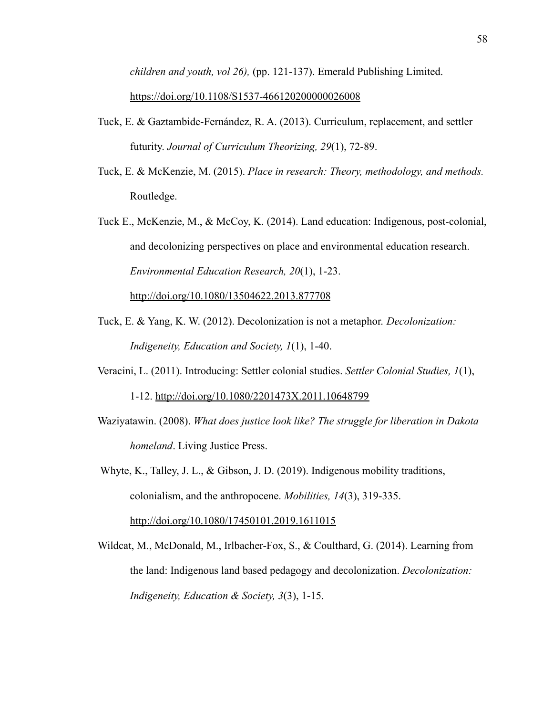*children and youth, vol 26),* (pp. 121-137). Emerald Publishing Limited.

#### <https://doi.org/10.1108/S1537-466120200000026008>

- Tuck, E. & Gaztambide-Fernández, R. A. (2013). Curriculum, replacement, and settler futurity. *Journal of Curriculum Theorizing, 29*(1), 72-89.
- Tuck, E. & McKenzie, M. (2015). *Place in research: Theory, methodology, and methods.* Routledge.
- Tuck E., McKenzie, M., & McCoy, K. (2014). Land education: Indigenous, post-colonial, and decolonizing perspectives on place and environmental education research. *Environmental Education Research, 20*(1), 1-23. <http://doi.org/10.1080/13504622.2013.877708>
- Tuck, E. & Yang, K. W. (2012). Decolonization is not a metaphor. *Decolonization: Indigeneity, Education and Society, 1*(1), 1-40.
- Veracini, L. (2011). Introducing: Settler colonial studies. *Settler Colonial Studies, 1*(1), 1-12. <http://doi.org/10.1080/2201473X.2011.10648799>
- Waziyatawin. (2008). *What does justice look like? The struggle for liberation in Dakota homeland*. Living Justice Press.

Whyte, K., Talley, J. L., & Gibson, J. D. (2019). Indigenous mobility traditions, colonialism, and the anthropocene. *Mobilities, 14*(3), 319-335. <http://doi.org/10.1080/17450101.2019.1611015>

Wildcat, M., McDonald, M., Irlbacher-Fox, S., & Coulthard, G. (2014). Learning from the land: Indigenous land based pedagogy and decolonization. *Decolonization: Indigeneity, Education & Society, 3*(3), 1-15.